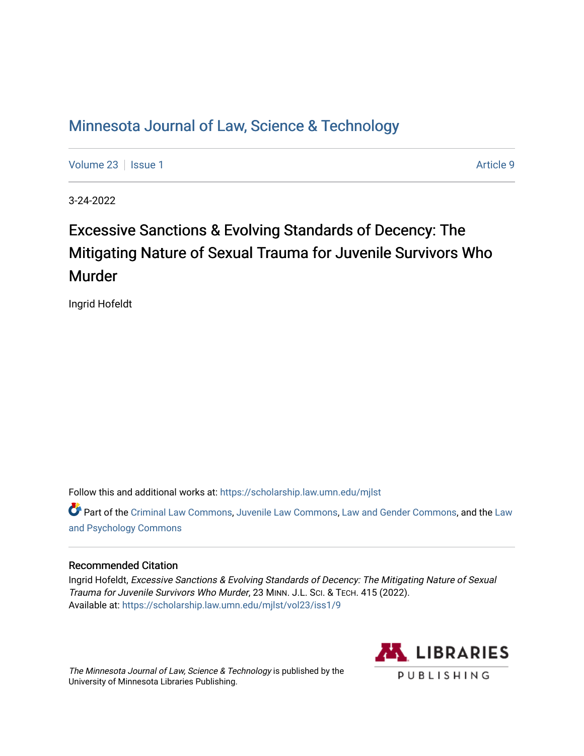## [Minnesota Journal of Law, Science & Technology](https://scholarship.law.umn.edu/mjlst?utm_source=scholarship.law.umn.edu%2Fmjlst%2Fvol23%2Fiss1%2F9&utm_medium=PDF&utm_campaign=PDFCoverPages)

[Volume 23](https://scholarship.law.umn.edu/mjlst/vol23?utm_source=scholarship.law.umn.edu%2Fmjlst%2Fvol23%2Fiss1%2F9&utm_medium=PDF&utm_campaign=PDFCoverPages) | [Issue 1](https://scholarship.law.umn.edu/mjlst/vol23/iss1?utm_source=scholarship.law.umn.edu%2Fmjlst%2Fvol23%2Fiss1%2F9&utm_medium=PDF&utm_campaign=PDFCoverPages) Article 9

3-24-2022

# Excessive Sanctions & Evolving Standards of Decency: The Mitigating Nature of Sexual Trauma for Juvenile Survivors Who Murder

Ingrid Hofeldt

Follow this and additional works at: [https://scholarship.law.umn.edu/mjlst](https://scholarship.law.umn.edu/mjlst?utm_source=scholarship.law.umn.edu%2Fmjlst%2Fvol23%2Fiss1%2F9&utm_medium=PDF&utm_campaign=PDFCoverPages) 

Part of the [Criminal Law Commons,](http://network.bepress.com/hgg/discipline/912?utm_source=scholarship.law.umn.edu%2Fmjlst%2Fvol23%2Fiss1%2F9&utm_medium=PDF&utm_campaign=PDFCoverPages) [Juvenile Law Commons](http://network.bepress.com/hgg/discipline/851?utm_source=scholarship.law.umn.edu%2Fmjlst%2Fvol23%2Fiss1%2F9&utm_medium=PDF&utm_campaign=PDFCoverPages), [Law and Gender Commons](http://network.bepress.com/hgg/discipline/1298?utm_source=scholarship.law.umn.edu%2Fmjlst%2Fvol23%2Fiss1%2F9&utm_medium=PDF&utm_campaign=PDFCoverPages), and the [Law](http://network.bepress.com/hgg/discipline/870?utm_source=scholarship.law.umn.edu%2Fmjlst%2Fvol23%2Fiss1%2F9&utm_medium=PDF&utm_campaign=PDFCoverPages) [and Psychology Commons](http://network.bepress.com/hgg/discipline/870?utm_source=scholarship.law.umn.edu%2Fmjlst%2Fvol23%2Fiss1%2F9&utm_medium=PDF&utm_campaign=PDFCoverPages) 

#### Recommended Citation

Ingrid Hofeldt, Excessive Sanctions & Evolving Standards of Decency: The Mitigating Nature of Sexual Trauma for Juvenile Survivors Who Murder, 23 MINN. J.L. SCI. & TECH. 415 (2022). Available at: [https://scholarship.law.umn.edu/mjlst/vol23/iss1/9](https://scholarship.law.umn.edu/mjlst/vol23/iss1/9?utm_source=scholarship.law.umn.edu%2Fmjlst%2Fvol23%2Fiss1%2F9&utm_medium=PDF&utm_campaign=PDFCoverPages) 

The Minnesota Journal of Law, Science & Technology is published by the University of Minnesota Libraries Publishing.

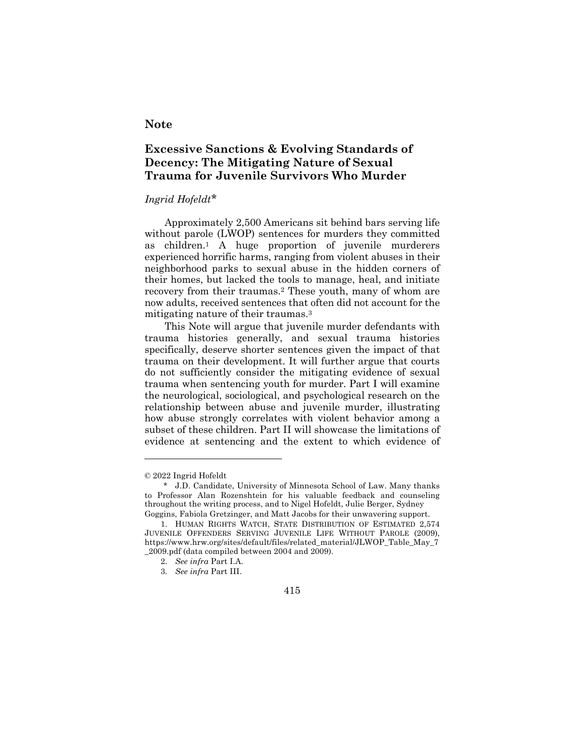#### **Note**

### **Excessive Sanctions & Evolving Standards of Decency: The Mitigating Nature of Sexual Trauma for Juvenile Survivors Who Murder**

#### *Ingrid Hofeldt\**

Approximately 2,500 Americans sit behind bars serving life without parole (LWOP) sentences for murders they committed as children.1 A huge proportion of juvenile murderers experienced horrific harms, ranging from violent abuses in their neighborhood parks to sexual abuse in the hidden corners of their homes, but lacked the tools to manage, heal, and initiate recovery from their traumas.2 These youth, many of whom are now adults, received sentences that often did not account for the mitigating nature of their traumas.3

This Note will argue that juvenile murder defendants with trauma histories generally, and sexual trauma histories specifically, deserve shorter sentences given the impact of that trauma on their development. It will further argue that courts do not sufficiently consider the mitigating evidence of sexual trauma when sentencing youth for murder. Part I will examine the neurological, sociological, and psychological research on the relationship between abuse and juvenile murder, illustrating how abuse strongly correlates with violent behavior among a subset of these children. Part II will showcase the limitations of evidence at sentencing and the extent to which evidence of



<sup>© 2022</sup> Ingrid Hofeldt

<sup>\*</sup> J.D. Candidate, University of Minnesota School of Law. Many thanks to Professor Alan Rozenshtein for his valuable feedback and counseling throughout the writing process, and to Nigel Hofeldt, Julie Berger, Sydney Goggins, Fabiola Gretzinger, and Matt Jacobs for their unwavering support.

<sup>1.</sup> HUMAN RIGHTS WATCH, STATE DISTRIBUTION OF ESTIMATED 2,574 JUVENILE OFFENDERS SERVING JUVENILE LIFE WITHOUT PAROLE (2009), https://www.hrw.org/sites/default/files/related\_material/JLWOP\_Table\_May\_7 \_2009.pdf (data compiled between 2004 and 2009).

<sup>2</sup>*. See infra* Part I.A.

<sup>3</sup>*. See infra* Part III.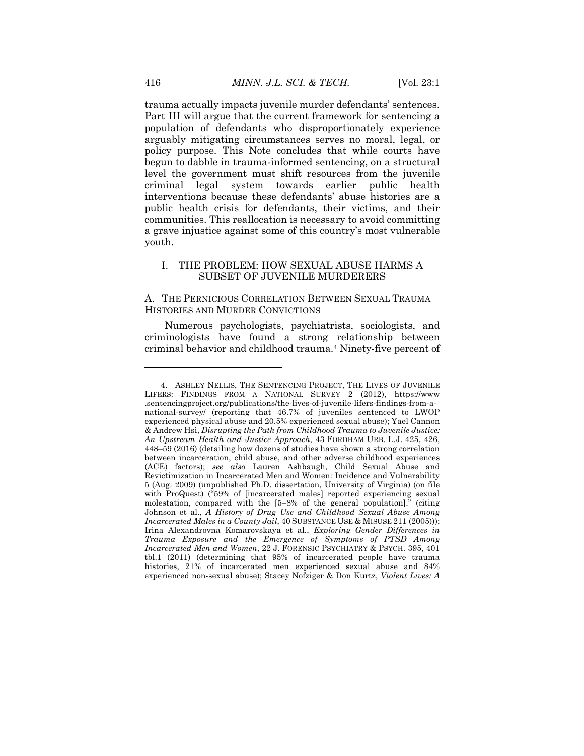trauma actually impacts juvenile murder defendants' sentences. Part III will argue that the current framework for sentencing a population of defendants who disproportionately experience arguably mitigating circumstances serves no moral, legal, or policy purpose. This Note concludes that while courts have begun to dabble in trauma-informed sentencing, on a structural level the government must shift resources from the juvenile criminal legal system towards earlier public health interventions because these defendants' abuse histories are a public health crisis for defendants, their victims, and their communities. This reallocation is necessary to avoid committing a grave injustice against some of this country's most vulnerable youth.

#### I. THE PROBLEM: HOW SEXUAL ABUSE HARMS A SUBSET OF JUVENILE MURDERERS

#### A. THE PERNICIOUS CORRELATION BETWEEN SEXUAL TRAUMA HISTORIES AND MURDER CONVICTIONS

Numerous psychologists, psychiatrists, sociologists, and criminologists have found a strong relationship between criminal behavior and childhood trauma.4 Ninety-five percent of

<sup>4.</sup> ASHLEY NELLIS, THE SENTENCING PROJECT, THE LIVES OF JUVENILE LIFERS: FINDINGS FROM A NATIONAL SURVEY 2 (2012), https://www .sentencingproject.org/publications/the-lives-of-juvenile-lifers-findings-from-anational-survey/ (reporting that 46.7% of juveniles sentenced to LWOP experienced physical abuse and 20.5% experienced sexual abuse); Yael Cannon & Andrew Hsi, *Disrupting the Path from Childhood Trauma to Juvenile Justice: An Upstream Health and Justice Approach*, 43 FORDHAM URB. L.J. 425, 426, 448–59 (2016) (detailing how dozens of studies have shown a strong correlation between incarceration, child abuse, and other adverse childhood experiences (ACE) factors); *see also* Lauren Ashbaugh, Child Sexual Abuse and Revictimization in Incarcerated Men and Women: Incidence and Vulnerability 5 (Aug. 2009) (unpublished Ph.D. dissertation, University of Virginia) (on file with ProQuest) ("59% of [incarcerated males] reported experiencing sexual molestation, compared with the [5–8% of the general population]." (citing Johnson et al., *A History of Drug Use and Childhood Sexual Abuse Among Incarcerated Males in a County Jail*, 40 SUBSTANCE USE & MISUSE 211 (2005))); Irina Alexandrovna Komarovskaya et al., *Exploring Gender Differences in Trauma Exposure and the Emergence of Symptoms of PTSD Among Incarcerated Men and Women*, 22 J. FORENSIC PSYCHIATRY & PSYCH. 395, 401 tbl.1 (2011) (determining that 95% of incarcerated people have trauma histories, 21% of incarcerated men experienced sexual abuse and 84% experienced non-sexual abuse); Stacey Nofziger & Don Kurtz, *Violent Lives: A*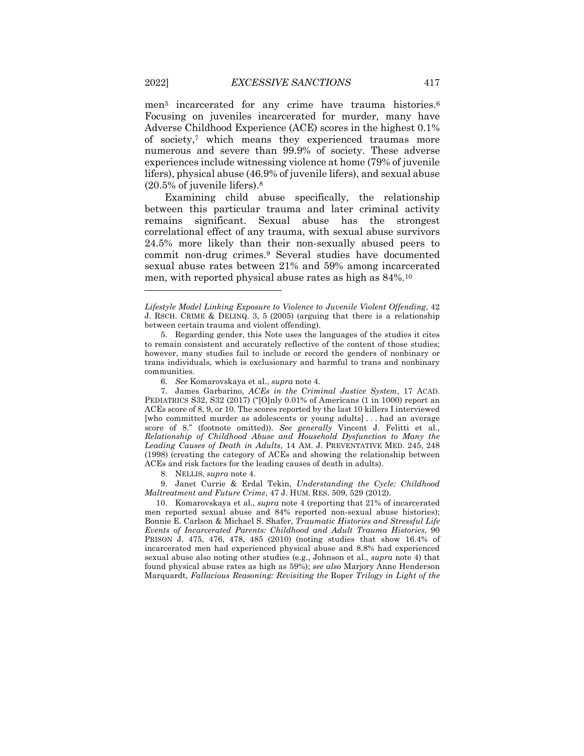men<sup>5</sup> incarcerated for any crime have trauma histories.<sup>6</sup> Focusing on juveniles incarcerated for murder, many have Adverse Childhood Experience (ACE) scores in the highest 0.1% of society,7 which means they experienced traumas more numerous and severe than 99.9% of society. These adverse experiences include witnessing violence at home (79% of juvenile lifers), physical abuse (46.9% of juvenile lifers), and sexual abuse (20.5% of juvenile lifers).8

Examining child abuse specifically, the relationship between this particular trauma and later criminal activity remains significant. Sexual abuse has the strongest correlational effect of any trauma, with sexual abuse survivors 24.5% more likely than their non-sexually abused peers to commit non-drug crimes.9 Several studies have documented sexual abuse rates between 21% and 59% among incarcerated men, with reported physical abuse rates as high as 84%.10

9. Janet Currie & Erdal Tekin, *Understanding the Cycle: Childhood Maltreatment and Future Crime*, 47 J. HUM. RES. 509, 529 (2012).

10. Komarovskaya et al., *supra* note 4 (reporting that 21% of incarcerated men reported sexual abuse and 84% reported non-sexual abuse histories); Bonnie E. Carlson & Michael S. Shafer, *Traumatic Histories and Stressful Life Events of Incarcerated Parents: Childhood and Adult Trauma Histories*, 90 PRISON J. 475, 476, 478, 485 (2010) (noting studies that show 16.4% of incarcerated men had experienced physical abuse and 8.8% had experienced sexual abuse also noting other studies (e.g., Johnson et al., *supra* note 4) that found physical abuse rates as high as 59%); *see also* Marjory Anne Henderson Marquardt, *Fallacious Reasoning: Revisiting the* Roper *Trilogy in Light of the* 

*Lifestyle Model Linking Exposure to Violence to Juvenile Violent Offending*, 42 J. RSCH. CRIME & DELINQ. 3, 5 (2005) (arguing that there is a relationship between certain trauma and violent offending).

<sup>5.</sup> Regarding gender, this Note uses the languages of the studies it cites to remain consistent and accurately reflective of the content of those studies; however, many studies fail to include or record the genders of nonbinary or trans individuals, which is exclusionary and harmful to trans and nonbinary communities.

<sup>6</sup>*. See* Komarovskaya et al., *supra* note 4.

<sup>7.</sup> James Garbarino, *ACEs in the Criminal Justice System*, 17 ACAD. PEDIATRICS S32, S32 (2017) ("[O]nly 0.01% of Americans (1 in 1000) report an ACEs score of 8, 9, or 10. The scores reported by the last 10 killers I interviewed [who committed murder as adolescents or young adults] . . . had an average score of 8." (footnote omitted)). *See generally* Vincent J. Felitti et al., *Relationship of Childhood Abuse and Household Dysfunction to Many the Leading Causes of Death in Adults*, 14 AM. J. PREVENTATIVE MED. 245, 248 (1998) (creating the category of ACEs and showing the relationship between ACEs and risk factors for the leading causes of death in adults).

<sup>8.</sup> NELLIS, *supra* note 4.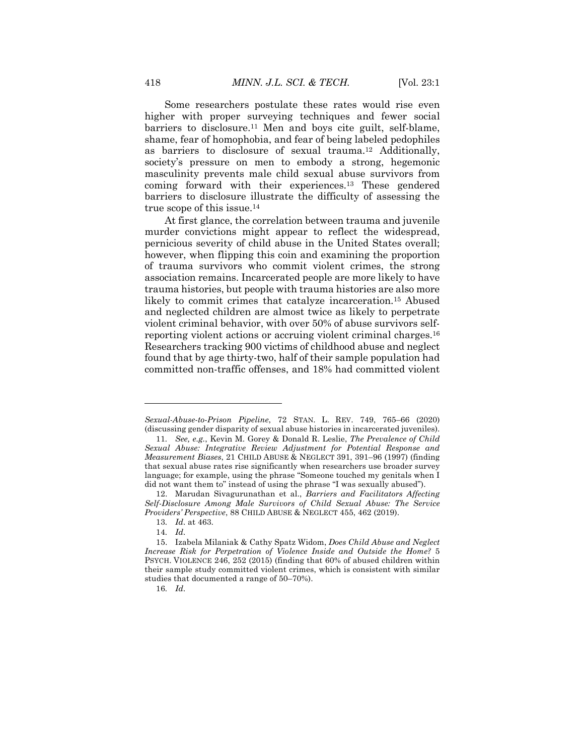Some researchers postulate these rates would rise even higher with proper surveying techniques and fewer social barriers to disclosure.11 Men and boys cite guilt, self-blame, shame, fear of homophobia, and fear of being labeled pedophiles as barriers to disclosure of sexual trauma.12 Additionally, society's pressure on men to embody a strong, hegemonic masculinity prevents male child sexual abuse survivors from coming forward with their experiences.13 These gendered barriers to disclosure illustrate the difficulty of assessing the true scope of this issue.14

At first glance, the correlation between trauma and juvenile murder convictions might appear to reflect the widespread, pernicious severity of child abuse in the United States overall; however, when flipping this coin and examining the proportion of trauma survivors who commit violent crimes, the strong association remains. Incarcerated people are more likely to have trauma histories, but people with trauma histories are also more likely to commit crimes that catalyze incarceration.<sup>15</sup> Abused and neglected children are almost twice as likely to perpetrate violent criminal behavior, with over 50% of abuse survivors selfreporting violent actions or accruing violent criminal charges.16 Researchers tracking 900 victims of childhood abuse and neglect found that by age thirty-two, half of their sample population had committed non-traffic offenses, and 18% had committed violent

*Sexual-Abuse-to-Prison Pipeline*, 72 STAN. L. REV. 749, 765–66 (2020) (discussing gender disparity of sexual abuse histories in incarcerated juveniles).

<sup>11</sup>*. See, e.g.*, Kevin M. Gorey & Donald R. Leslie, *The Prevalence of Child Sexual Abuse: Integrative Review Adjustment for Potential Response and Measurement Biases*, 21 CHILD ABUSE & NEGLECT 391, 391–96 (1997) (finding that sexual abuse rates rise significantly when researchers use broader survey language; for example, using the phrase "Someone touched my genitals when I did not want them to" instead of using the phrase "I was sexually abused").

<sup>12.</sup> Marudan Sivagurunathan et al., *Barriers and Facilitators Affecting Self-Disclosure Among Male Survivors of Child Sexual Abuse: The Service Providers' Perspective*, 88 CHILD ABUSE & NEGLECT 455, 462 (2019).

<sup>13</sup>*. Id.* at 463.

<sup>14</sup>*. Id.*

<sup>15.</sup> Izabela Milaniak & Cathy Spatz Widom, *Does Child Abuse and Neglect Increase Risk for Perpetration of Violence Inside and Outside the Home?* 5 PSYCH. VIOLENCE 246, 252 (2015) (finding that 60% of abused children within their sample study committed violent crimes, which is consistent with similar studies that documented a range of 50–70%).

<sup>16</sup>*. Id.*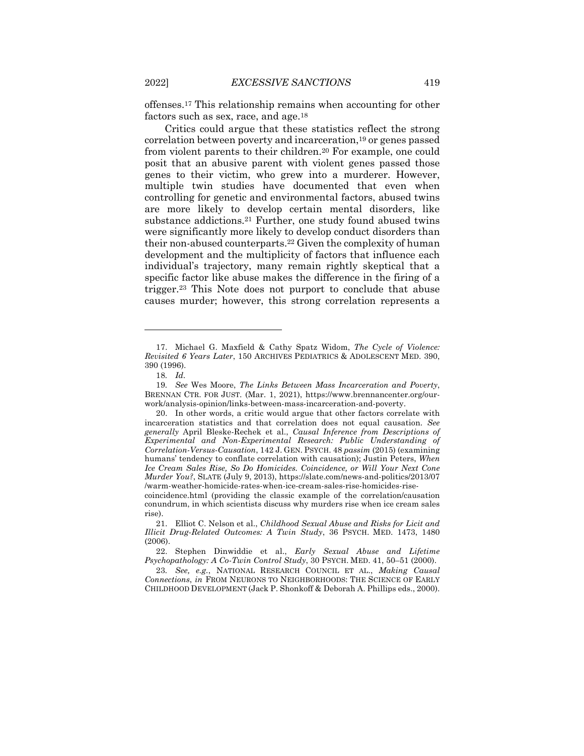offenses.17 This relationship remains when accounting for other factors such as sex, race, and age.<sup>18</sup>

Critics could argue that these statistics reflect the strong correlation between poverty and incarceration,19 or genes passed from violent parents to their children.<sup>20</sup> For example, one could posit that an abusive parent with violent genes passed those genes to their victim, who grew into a murderer. However, multiple twin studies have documented that even when controlling for genetic and environmental factors, abused twins are more likely to develop certain mental disorders, like substance addictions.21 Further, one study found abused twins were significantly more likely to develop conduct disorders than their non-abused counterparts.22 Given the complexity of human development and the multiplicity of factors that influence each individual's trajectory, many remain rightly skeptical that a specific factor like abuse makes the difference in the firing of a trigger.23 This Note does not purport to conclude that abuse causes murder; however, this strong correlation represents a

<sup>17.</sup> Michael G. Maxfield & Cathy Spatz Widom, *The Cycle of Violence: Revisited 6 Years Later*, 150 ARCHIVES PEDIATRICS & ADOLESCENT MED. 390, 390 (1996).

<sup>18</sup>*. Id.*

<sup>19</sup>*. See* Wes Moore, *The Links Between Mass Incarceration and Poverty*, BRENNAN CTR. FOR JUST. (Mar. 1, 2021), https://www.brennancenter.org/ourwork/analysis-opinion/links-between-mass-incarceration-and-poverty.

<sup>20.</sup> In other words, a critic would argue that other factors correlate with incarceration statistics and that correlation does not equal causation. *See generally* April Bleske-Rechek et al., *Causal Inference from Descriptions of Experimental and Non-Experimental Research: Public Understanding of Correlation-Versus-Causation*, 142 J. GEN. PSYCH. 48 *passim* (2015) (examining humans' tendency to conflate correlation with causation); Justin Peters, *When Ice Cream Sales Rise, So Do Homicides. Coincidence, or Will Your Next Cone Murder You?*, SLATE (July 9, 2013), https://slate.com/news-and-politics/2013/07 /warm-weather-homicide-rates-when-ice-cream-sales-rise-homicides-rise-

coincidence.html (providing the classic example of the correlation/causation conundrum, in which scientists discuss why murders rise when ice cream sales rise).

<sup>21.</sup> Elliot C. Nelson et al., *Childhood Sexual Abuse and Risks for Licit and Illicit Drug-Related Outcomes: A Twin Study*, 36 PSYCH. MED. 1473, 1480 (2006).

<sup>22.</sup> Stephen Dinwiddie et al., *Early Sexual Abuse and Lifetime Psychopathology: A Co-Twin Control Study*, 30 PSYCH. MED. 41, 50–51 (2000).

<sup>23</sup>*. See, e.g.*, NATIONAL RESEARCH COUNCIL ET AL., *Making Causal Connections*, *in* FROM NEURONS TO NEIGHBORHOODS: THE SCIENCE OF EARLY CHILDHOOD DEVELOPMENT (Jack P. Shonkoff & Deborah A. Phillips eds., 2000).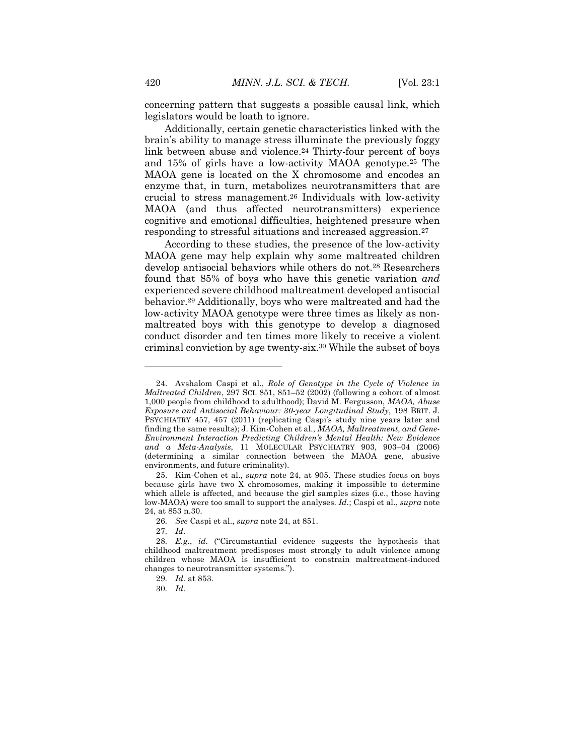concerning pattern that suggests a possible causal link, which legislators would be loath to ignore.

Additionally, certain genetic characteristics linked with the brain's ability to manage stress illuminate the previously foggy link between abuse and violence.24 Thirty-four percent of boys and 15% of girls have a low-activity MAOA genotype.25 The MAOA gene is located on the X chromosome and encodes an enzyme that, in turn, metabolizes neurotransmitters that are crucial to stress management.26 Individuals with low-activity MAOA (and thus affected neurotransmitters) experience cognitive and emotional difficulties, heightened pressure when responding to stressful situations and increased aggression.27

According to these studies, the presence of the low-activity MAOA gene may help explain why some maltreated children develop antisocial behaviors while others do not.28 Researchers found that 85% of boys who have this genetic variation *and* experienced severe childhood maltreatment developed antisocial behavior.29 Additionally, boys who were maltreated and had the low-activity MAOA genotype were three times as likely as nonmaltreated boys with this genotype to develop a diagnosed conduct disorder and ten times more likely to receive a violent criminal conviction by age twenty-six.30 While the subset of boys

<sup>24.</sup> Avshalom Caspi et al., *Role of Genotype in the Cycle of Violence in Maltreated Children*, 297 SCI. 851, 851–52 (2002) (following a cohort of almost 1,000 people from childhood to adulthood); David M. Fergusson, *MAOA, Abuse Exposure and Antisocial Behaviour: 30-year Longitudinal Study*, 198 BRIT. J. PSYCHIATRY 457, 457 (2011) (replicating Caspi's study nine years later and finding the same results); J. Kim-Cohen et al., *MAOA, Maltreatment, and Gene-Environment Interaction Predicting Children's Mental Health: New Evidence and a Meta-Analysis*, 11 MOLECULAR PSYCHIATRY 903, 903–04 (2006) (determining a similar connection between the MAOA gene, abusive environments, and future criminality).

<sup>25.</sup> Kim-Cohen et al., *supra* note 24, at 905. These studies focus on boys because girls have two X chromosomes, making it impossible to determine which allele is affected, and because the girl samples sizes (i.e., those having low-MAOA) were too small to support the analyses. *Id.*; Caspi et al., *supra* note 24, at 853 n.30.

<sup>26</sup>*. See* Caspi et al., *supra* note 24, at 851.

<sup>27</sup>*. Id.*

<sup>28</sup>*. E.g.*, *id.* ("Circumstantial evidence suggests the hypothesis that childhood maltreatment predisposes most strongly to adult violence among children whose MAOA is insufficient to constrain maltreatment-induced changes to neurotransmitter systems.").

<sup>29</sup>*. Id.* at 853.

<sup>30</sup>*. Id.*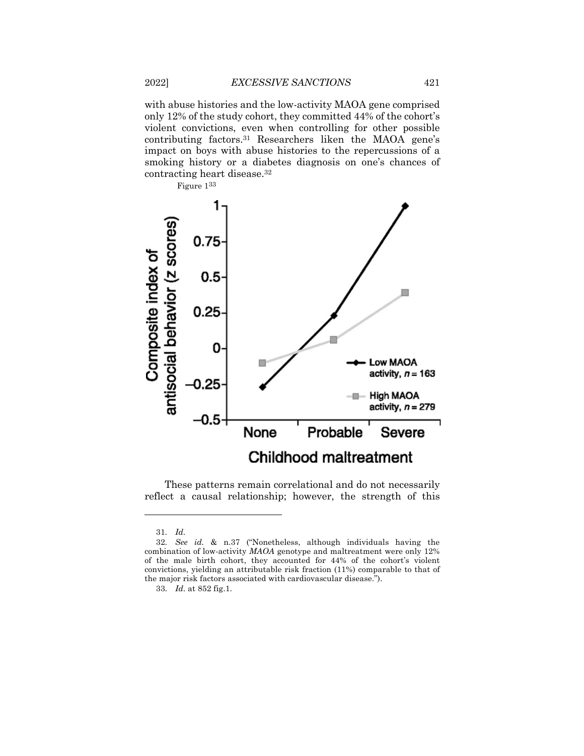with abuse histories and the low-activity MAOA gene comprised only 12% of the study cohort, they committed 44% of the cohort's violent convictions, even when controlling for other possible contributing factors.31 Researchers liken the MAOA gene's impact on boys with abuse histories to the repercussions of a smoking history or a diabetes diagnosis on one's chances of contracting heart disease.32



These patterns remain correlational and do not necessarily reflect a causal relationship; however, the strength of this

<sup>31</sup>*. Id.*

<sup>32</sup>*. See id.* & n.37 ("Nonetheless, although individuals having the combination of low-activity *MAOA* genotype and maltreatment were only 12% of the male birth cohort, they accounted for 44% of the cohort's violent convictions, yielding an attributable risk fraction (11%) comparable to that of the major risk factors associated with cardiovascular disease.").

<sup>33</sup>*. Id.* at 852 fig.1.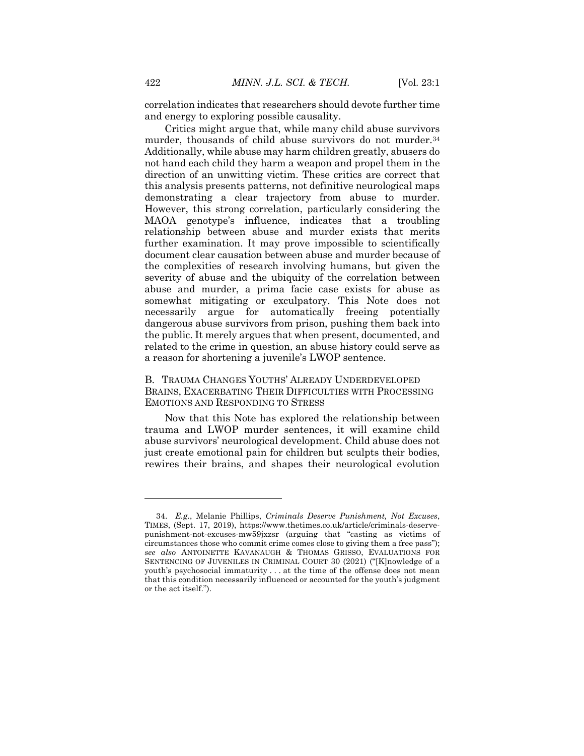correlation indicates that researchers should devote further time and energy to exploring possible causality.

Critics might argue that, while many child abuse survivors murder, thousands of child abuse survivors do not murder.<sup>34</sup> Additionally, while abuse may harm children greatly, abusers do not hand each child they harm a weapon and propel them in the direction of an unwitting victim. These critics are correct that this analysis presents patterns, not definitive neurological maps demonstrating a clear trajectory from abuse to murder. However, this strong correlation, particularly considering the MAOA genotype's influence, indicates that a troubling relationship between abuse and murder exists that merits further examination. It may prove impossible to scientifically document clear causation between abuse and murder because of the complexities of research involving humans, but given the severity of abuse and the ubiquity of the correlation between abuse and murder, a prima facie case exists for abuse as somewhat mitigating or exculpatory. This Note does not necessarily argue for automatically freeing potentially dangerous abuse survivors from prison, pushing them back into the public. It merely argues that when present, documented, and related to the crime in question, an abuse history could serve as a reason for shortening a juvenile's LWOP sentence.

#### B. TRAUMA CHANGES YOUTHS' ALREADY UNDERDEVELOPED BRAINS, EXACERBATING THEIR DIFFICULTIES WITH PROCESSING EMOTIONS AND RESPONDING TO STRESS

Now that this Note has explored the relationship between trauma and LWOP murder sentences, it will examine child abuse survivors' neurological development. Child abuse does not just create emotional pain for children but sculpts their bodies, rewires their brains, and shapes their neurological evolution

<sup>34.</sup> *E.g.*, Melanie Phillips, *Criminals Deserve Punishment, Not Excuses*, TIMES, (Sept. 17, 2019), https://www.thetimes.co.uk/article/criminals-deservepunishment-not-excuses-mw59jxzsr (arguing that "casting as victims of circumstances those who commit crime comes close to giving them a free pass"); *see also* ANTOINETTE KAVANAUGH & THOMAS GRISSO, EVALUATIONS FOR SENTENCING OF JUVENILES IN CRIMINAL COURT 30 (2021) ("[K]nowledge of a youth's psychosocial immaturity . . . at the time of the offense does not mean that this condition necessarily influenced or accounted for the youth's judgment or the act itself.").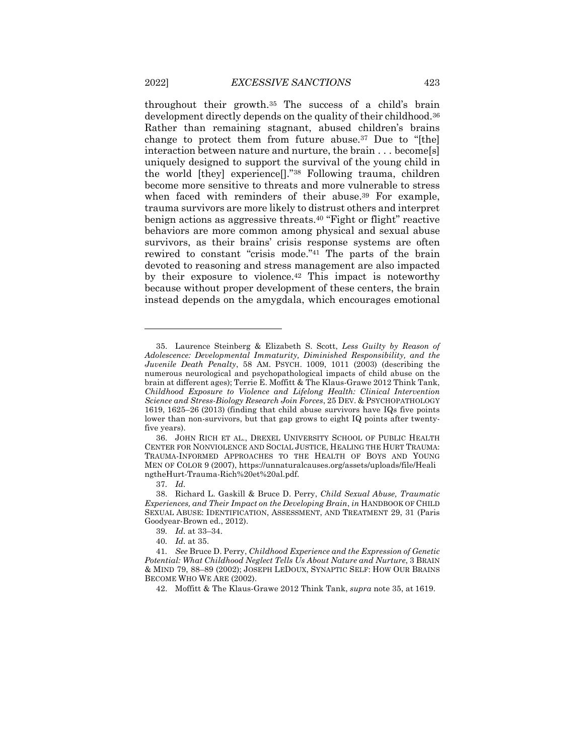throughout their growth.35 The success of a child's brain development directly depends on the quality of their childhood.36 Rather than remaining stagnant, abused children's brains change to protect them from future abuse.37 Due to "[the] interaction between nature and nurture, the brain . . . become[s] uniquely designed to support the survival of the young child in the world [they] experience[]."38 Following trauma, children become more sensitive to threats and more vulnerable to stress when faced with reminders of their abuse.<sup>39</sup> For example, trauma survivors are more likely to distrust others and interpret benign actions as aggressive threats.40 "Fight or flight" reactive behaviors are more common among physical and sexual abuse survivors, as their brains' crisis response systems are often rewired to constant "crisis mode."41 The parts of the brain devoted to reasoning and stress management are also impacted by their exposure to violence.42 This impact is noteworthy because without proper development of these centers, the brain instead depends on the amygdala, which encourages emotional

37*. Id.*

<sup>35.</sup> Laurence Steinberg & Elizabeth S. Scott, *Less Guilty by Reason of Adolescence: Developmental Immaturity, Diminished Responsibility, and the Juvenile Death Penalty*, 58 AM. PSYCH. 1009, 1011 (2003) (describing the numerous neurological and psychopathological impacts of child abuse on the brain at different ages); Terrie E. Moffitt & The Klaus-Grawe 2012 Think Tank, *Childhood Exposure to Violence and Lifelong Health: Clinical Intervention Science and Stress-Biology Research Join Forces*, 25 DEV. & PSYCHOPATHOLOGY 1619, 1625–26 (2013) (finding that child abuse survivors have IQs five points lower than non-survivors, but that gap grows to eight IQ points after twentyfive years).

<sup>36.</sup> JOHN RICH ET AL., DREXEL UNIVERSITY SCHOOL OF PUBLIC HEALTH CENTER FOR NONVIOLENCE AND SOCIAL JUSTICE, HEALING THE HURT TRAUMA: TRAUMA-INFORMED APPROACHES TO THE HEALTH OF BOYS AND YOUNG MEN OF COLOR 9 (2007), https://unnaturalcauses.org/assets/uploads/file/Heali ngtheHurt-Trauma-Rich%20et%20al.pdf.

<sup>38.</sup> Richard L. Gaskill & Bruce D. Perry, *Child Sexual Abuse, Traumatic Experiences, and Their Impact on the Developing Brain*, *in* HANDBOOK OF CHILD SEXUAL ABUSE: IDENTIFICATION, ASSESSMENT, AND TREATMENT 29, 31 (Paris Goodyear-Brown ed., 2012).

<sup>39</sup>*. Id.* at 33–34.

<sup>40</sup>*. Id.* at 35.

<sup>41</sup>*. See* Bruce D. Perry, *Childhood Experience and the Expression of Genetic Potential: What Childhood Neglect Tells Us About Nature and Nurture*, 3 BRAIN & MIND 79, 88–89 (2002); JOSEPH LEDOUX, SYNAPTIC SELF: HOW OUR BRAINS BECOME WHO WE ARE (2002).

<sup>42.</sup> Moffitt & The Klaus-Grawe 2012 Think Tank, *supra* note 35, at 1619.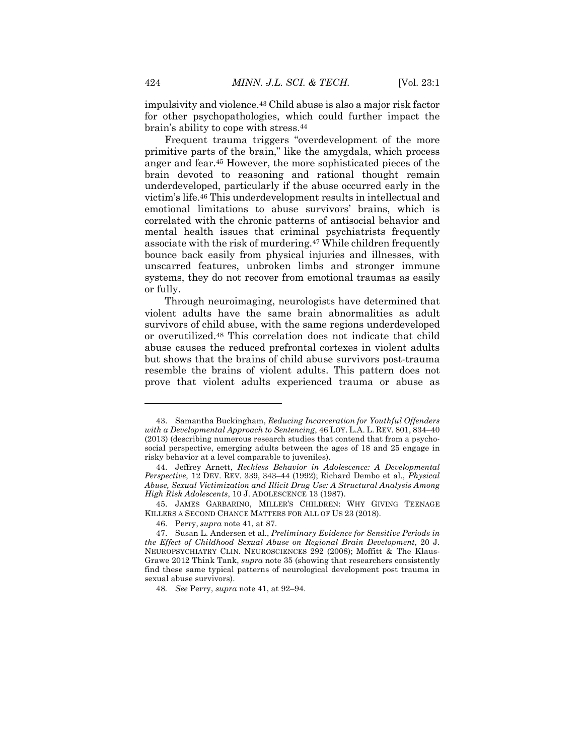impulsivity and violence.43 Child abuse is also a major risk factor for other psychopathologies, which could further impact the brain's ability to cope with stress.44

Frequent trauma triggers "overdevelopment of the more primitive parts of the brain," like the amygdala, which process anger and fear.45 However, the more sophisticated pieces of the brain devoted to reasoning and rational thought remain underdeveloped, particularly if the abuse occurred early in the victim's life.46 This underdevelopment results in intellectual and emotional limitations to abuse survivors' brains, which is correlated with the chronic patterns of antisocial behavior and mental health issues that criminal psychiatrists frequently associate with the risk of murdering.47 While children frequently bounce back easily from physical injuries and illnesses, with unscarred features, unbroken limbs and stronger immune systems, they do not recover from emotional traumas as easily or fully.

Through neuroimaging, neurologists have determined that violent adults have the same brain abnormalities as adult survivors of child abuse, with the same regions underdeveloped or overutilized.48 This correlation does not indicate that child abuse causes the reduced prefrontal cortexes in violent adults but shows that the brains of child abuse survivors post-trauma resemble the brains of violent adults. This pattern does not prove that violent adults experienced trauma or abuse as

<sup>43.</sup> Samantha Buckingham, *Reducing Incarceration for Youthful Offenders with a Developmental Approach to Sentencing*, 46 LOY. L.A. L. REV. 801, 834–40 (2013) (describing numerous research studies that contend that from a psychosocial perspective, emerging adults between the ages of 18 and 25 engage in risky behavior at a level comparable to juveniles).

<sup>44.</sup> Jeffrey Arnett, *Reckless Behavior in Adolescence: A Developmental Perspective*, 12 DEV. REV. 339, 343–44 (1992); Richard Dembo et al., *Physical Abuse, Sexual Victimization and Illicit Drug Use: A Structural Analysis Among High Risk Adolescents*, 10 J. ADOLESCENCE 13 (1987).

<sup>45.</sup> JAMES GARBARINO, MILLER'S CHILDREN: WHY GIVING TEENAGE KILLERS A SECOND CHANCE MATTERS FOR ALL OF US 23 (2018).

<sup>46.</sup> Perry, *supra* note 41, at 87.

<sup>47.</sup> Susan L. Andersen et al., *Preliminary Evidence for Sensitive Periods in the Effect of Childhood Sexual Abuse on Regional Brain Development*, 20 J. NEUROPSYCHIATRY CLIN. NEUROSCIENCES 292 (2008); Moffitt & The Klaus-Grawe 2012 Think Tank, *supra* note 35 (showing that researchers consistently find these same typical patterns of neurological development post trauma in sexual abuse survivors).

<sup>48</sup>*. See* Perry, *supra* note 41, at 92–94.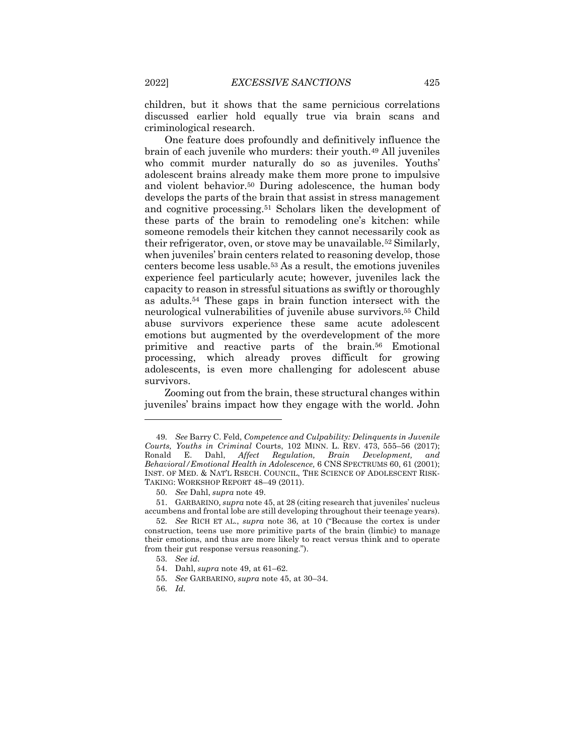children, but it shows that the same pernicious correlations discussed earlier hold equally true via brain scans and criminological research.

One feature does profoundly and definitively influence the brain of each juvenile who murders: their youth.49 All juveniles who commit murder naturally do so as juveniles. Youths' adolescent brains already make them more prone to impulsive and violent behavior.50 During adolescence, the human body develops the parts of the brain that assist in stress management and cognitive processing.51 Scholars liken the development of these parts of the brain to remodeling one's kitchen: while someone remodels their kitchen they cannot necessarily cook as their refrigerator, oven, or stove may be unavailable.52 Similarly, when juveniles' brain centers related to reasoning develop, those centers become less usable.53 As a result, the emotions juveniles experience feel particularly acute; however, juveniles lack the capacity to reason in stressful situations as swiftly or thoroughly as adults.54 These gaps in brain function intersect with the neurological vulnerabilities of juvenile abuse survivors.55 Child abuse survivors experience these same acute adolescent emotions but augmented by the overdevelopment of the more primitive and reactive parts of the brain.56 Emotional processing, which already proves difficult for growing adolescents, is even more challenging for adolescent abuse survivors.

Zooming out from the brain, these structural changes within juveniles' brains impact how they engage with the world. John

<sup>49</sup>*. See* Barry C. Feld, *Competence and Culpability: Delinquents in Juvenile Courts, Youths in Criminal* Courts, 102 MINN. L. REV. 473, 555–56 (2017); Ronald E. Dahl, *Affect Regulation, Brain Development, and Behavioral/Emotional Health in Adolescence,* 6 CNS SPECTRUMS 60, 61 (2001); INST. OF MED. & NAT'L RSECH. COUNCIL, THE SCIENCE OF ADOLESCENT RISK-TAKING: WORKSHOP REPORT 48–49 (2011).

<sup>50</sup>*. See* Dahl, *supra* note 49.

<sup>51.</sup> GARBARINO*, supra* note 45, at 28 (citing research that juveniles' nucleus accumbens and frontal lobe are still developing throughout their teenage years).

<sup>52</sup>*. See* RICH ET AL., *supra* note 36, at 10 ("Because the cortex is under construction, teens use more primitive parts of the brain (limbic) to manage their emotions, and thus are more likely to react versus think and to operate from their gut response versus reasoning.").

<sup>53</sup>*. See id.*

<sup>54.</sup> Dahl, *supra* note 49, at 61–62.

<sup>55</sup>*. See* GARBARINO*, supra* note 45, at 30–34.

<sup>56</sup>*. Id.*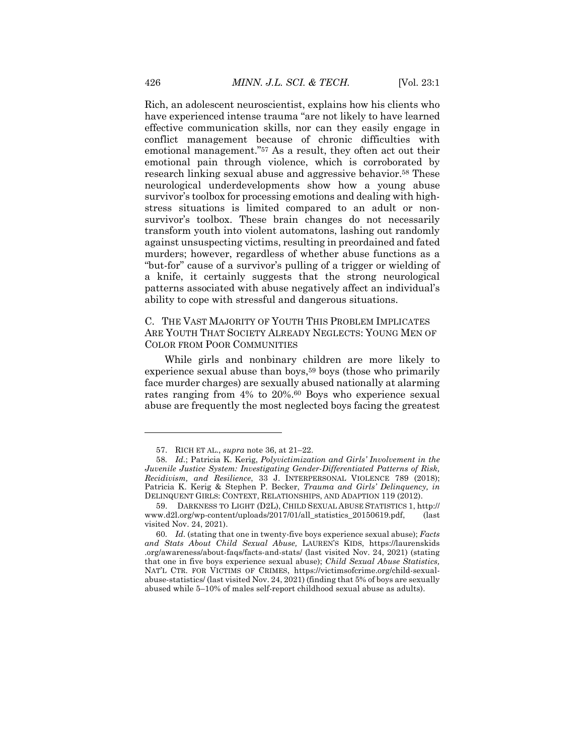Rich, an adolescent neuroscientist, explains how his clients who have experienced intense trauma "are not likely to have learned effective communication skills, nor can they easily engage in conflict management because of chronic difficulties with emotional management."57 As a result, they often act out their emotional pain through violence, which is corroborated by research linking sexual abuse and aggressive behavior.58 These neurological underdevelopments show how a young abuse survivor's toolbox for processing emotions and dealing with highstress situations is limited compared to an adult or nonsurvivor's toolbox. These brain changes do not necessarily transform youth into violent automatons, lashing out randomly against unsuspecting victims, resulting in preordained and fated murders; however, regardless of whether abuse functions as a "but-for" cause of a survivor's pulling of a trigger or wielding of a knife, it certainly suggests that the strong neurological patterns associated with abuse negatively affect an individual's ability to cope with stressful and dangerous situations.

C. THE VAST MAJORITY OF YOUTH THIS PROBLEM IMPLICATES ARE YOUTH THAT SOCIETY ALREADY NEGLECTS: YOUNG MEN OF COLOR FROM POOR COMMUNITIES

While girls and nonbinary children are more likely to experience sexual abuse than boys,<sup>59</sup> boys (those who primarily face murder charges) are sexually abused nationally at alarming rates ranging from 4% to 20%.60 Boys who experience sexual abuse are frequently the most neglected boys facing the greatest

<sup>57.</sup> RICH ET AL., *supra* note 36, at 21–22.

<sup>58</sup>*. Id.*; Patricia K. Kerig, *Polyvictimization and Girls' Involvement in the Juvenile Justice System: Investigating Gender-Differentiated Patterns of Risk, Recidivism, and Resilience*, 33 J. INTERPERSONAL VIOLENCE 789 (2018); Patricia K. Kerig & Stephen P. Becker, *Trauma and Girls' Delinquency, in* DELINQUENT GIRLS: CONTEXT, RELATIONSHIPS, AND ADAPTION 119 (2012).

<sup>59.</sup> DARKNESS TO LIGHT (D2L), CHILD SEXUAL ABUSE STATISTICS 1, http:// www.d2l.org/wp-content/uploads/2017/01/all\_statistics\_20150619.pdf, (last visited Nov. 24, 2021).

<sup>60</sup>*. Id.* (stating that one in twenty-five boys experience sexual abuse); *Facts and Stats About Child Sexual Abuse,* LAUREN'S KIDS, https://laurenskids .org/awareness/about-faqs/facts-and-stats/ (last visited Nov. 24, 2021) (stating that one in five boys experience sexual abuse); *Child Sexual Abuse Statistics,*  NAT'L CTR. FOR VICTIMS OF CRIMES, https://victimsofcrime.org/child-sexualabuse-statistics/ (last visited Nov. 24, 2021) (finding that 5% of boys are sexually abused while 5–10% of males self-report childhood sexual abuse as adults).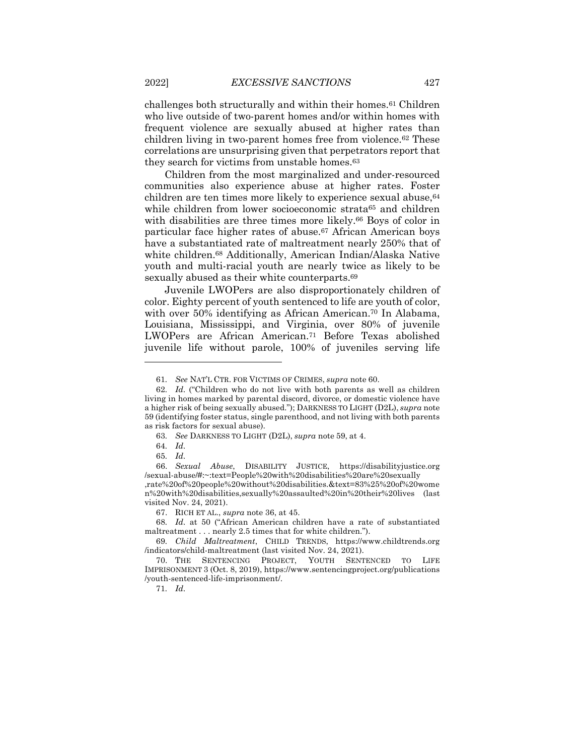challenges both structurally and within their homes.61 Children who live outside of two-parent homes and/or within homes with frequent violence are sexually abused at higher rates than children living in two-parent homes free from violence.62 These correlations are unsurprising given that perpetrators report that they search for victims from unstable homes.<sup>63</sup>

Children from the most marginalized and under-resourced communities also experience abuse at higher rates. Foster children are ten times more likely to experience sexual abuse, 64 while children from lower socioeconomic strata<sup>65</sup> and children with disabilities are three times more likely.66 Boys of color in particular face higher rates of abuse.<sup>67</sup> African American boys have a substantiated rate of maltreatment nearly 250% that of white children.68 Additionally, American Indian/Alaska Native youth and multi-racial youth are nearly twice as likely to be sexually abused as their white counterparts.<sup>69</sup>

Juvenile LWOPers are also disproportionately children of color. Eighty percent of youth sentenced to life are youth of color, with over 50% identifying as African American.<sup>70</sup> In Alabama, Louisiana, Mississippi, and Virginia, over 80% of juvenile LWOPers are African American.71 Before Texas abolished juvenile life without parole, 100% of juveniles serving life

- 63*. See* DARKNESS TO LIGHT (D2L), *supra* note 59, at 4.
- 64*. Id.*
- 65*. Id.*

66. *Sexual Abuse*, DISABILITY JUSTICE, https://disabilityjustice.org /sexual-abuse/#:~:text=People%20with%20disabilities%20are%20sexually

,rate%20of%20people%20without%20disabilities.&text=83%25%20of%20wome n%20with%20disabilities,sexually%20assaulted%20in%20their%20lives (last visited Nov. 24, 2021).

67. RICH ET AL., *supra* note 36, at 45.

68*. Id.* at 50 ("African American children have a rate of substantiated maltreatment . . . nearly 2.5 times that for white children.").

69*. Child Maltreatment*, CHILD TRENDS, https://www.childtrends.org /indicators/child-maltreatment (last visited Nov. 24, 2021).

70. THE SENTENCING PROJECT, YOUTH SENTENCED TO LIFE IMPRISONMENT 3 (Oct. 8, 2019), https://www.sentencingproject.org/publications /youth-sentenced-life-imprisonment/.

71*. Id.*

<sup>61</sup>*. See* NAT'L CTR. FOR VICTIMS OF CRIMES, *supra* note 60.

<sup>62</sup>*. Id.* ("Children who do not live with both parents as well as children living in homes marked by parental discord, divorce, or domestic violence have a higher risk of being sexually abused."); DARKNESS TO LIGHT (D2L), *supra* note 59 (identifying foster status, single parenthood, and not living with both parents as risk factors for sexual abuse).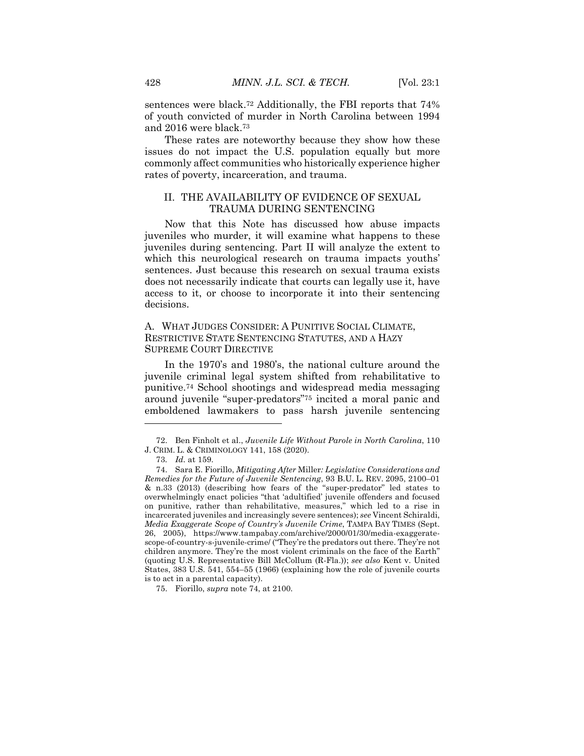sentences were black.72 Additionally, the FBI reports that 74% of youth convicted of murder in North Carolina between 1994 and 2016 were black.73

These rates are noteworthy because they show how these issues do not impact the U.S. population equally but more commonly affect communities who historically experience higher rates of poverty, incarceration, and trauma.

#### II. THE AVAILABILITY OF EVIDENCE OF SEXUAL TRAUMA DURING SENTENCING

Now that this Note has discussed how abuse impacts juveniles who murder, it will examine what happens to these juveniles during sentencing. Part II will analyze the extent to which this neurological research on trauma impacts youths' sentences. Just because this research on sexual trauma exists does not necessarily indicate that courts can legally use it, have access to it, or choose to incorporate it into their sentencing decisions.

#### A. WHAT JUDGES CONSIDER: A PUNITIVE SOCIAL CLIMATE, RESTRICTIVE STATE SENTENCING STATUTES, AND A HAZY SUPREME COURT DIRECTIVE

In the 1970's and 1980's, the national culture around the juvenile criminal legal system shifted from rehabilitative to punitive.74 School shootings and widespread media messaging around juvenile "super-predators"75 incited a moral panic and emboldened lawmakers to pass harsh juvenile sentencing

<sup>72.</sup> Ben Finholt et al., *Juvenile Life Without Parole in North Carolina*, 110 J. CRIM. L. & CRIMINOLOGY 141, 158 (2020).

<sup>73</sup>*. Id.* at 159.

<sup>74.</sup> Sara E. Fiorillo, *Mitigating After* Miller*: Legislative Considerations and Remedies for the Future of Juvenile Sentencing*, 93 B.U. L. REV. 2095, 2100–01 & n.33 (2013) (describing how fears of the "super-predator" led states to overwhelmingly enact policies "that 'adultified' juvenile offenders and focused on punitive, rather than rehabilitative, measures," which led to a rise in incarcerated juveniles and increasingly severe sentences); *see* Vincent Schiraldi, *Media Exaggerate Scope of Country's Juvenile Crime*, TAMPA BAY TIMES (Sept. 26, 2005), https://www.tampabay.com/archive/2000/01/30/media-exaggeratescope-of-country-s-juvenile-crime/ ("They're the predators out there. They're not children anymore. They're the most violent criminals on the face of the Earth" (quoting U.S. Representative Bill McCollum (R-Fla.)); *see also* Kent v. United States, 383 U.S. 541, 554–55 (1966) (explaining how the role of juvenile courts is to act in a parental capacity).

<sup>75.</sup> Fiorillo, *supra* note 74, at 2100.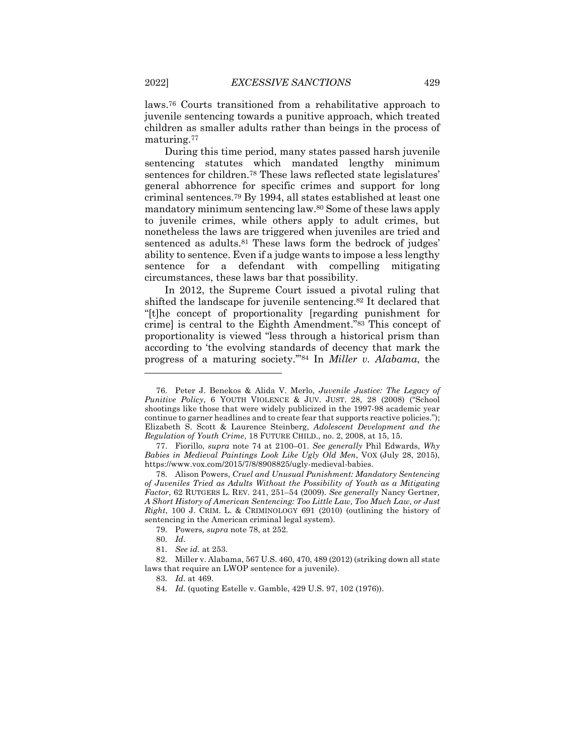laws.76 Courts transitioned from a rehabilitative approach to juvenile sentencing towards a punitive approach, which treated children as smaller adults rather than beings in the process of maturing.77

During this time period, many states passed harsh juvenile sentencing statutes which mandated lengthy minimum sentences for children.78 These laws reflected state legislatures' general abhorrence for specific crimes and support for long criminal sentences.79 By 1994, all states established at least one mandatory minimum sentencing law.80 Some of these laws apply to juvenile crimes, while others apply to adult crimes, but nonetheless the laws are triggered when juveniles are tried and sentenced as adults.<sup>81</sup> These laws form the bedrock of judges' ability to sentence. Even if a judge wants to impose a less lengthy sentence for a defendant with compelling mitigating circumstances, these laws bar that possibility.

In 2012, the Supreme Court issued a pivotal ruling that shifted the landscape for juvenile sentencing.82 It declared that "[t]he concept of proportionality [regarding punishment for crime] is central to the Eighth Amendment."83 This concept of proportionality is viewed "less through a historical prism than according to 'the evolving standards of decency that mark the progress of a maturing society.'"84 In *Miller v. Alabama*, the

79. Powers*, supra* note 78, at 252.

81*. See id.* at 253.

<sup>76.</sup> Peter J. Benekos & Alida V. Merlo, *Juvenile Justice: The Legacy of Punitive Policy*, 6 YOUTH VIOLENCE & JUV. JUST. 28, 28 (2008) ("School shootings like those that were widely publicized in the 1997-98 academic year continue to garner headlines and to create fear that supports reactive policies."); Elizabeth S. Scott & Laurence Steinberg, *Adolescent Development and the Regulation of Youth Crime*, 18 FUTURE CHILD., no. 2, 2008, at 15, 15.

<sup>77.</sup> Fiorillo, *supra* note 74 at 2100–01. *See generally* Phil Edwards, *Why Babies in Medieval Paintings Look Like Ugly Old Men*, VOX (July 28, 2015), https://www.vox.com/2015/7/8/8908825/ugly-medieval-babies.

<sup>78.</sup> Alison Powers, *Cruel and Unusual Punishment: Mandatory Sentencing of Juveniles Tried as Adults Without the Possibility of Youth as a Mitigating Factor*, 62 RUTGERS L. REV. 241, 251–54 (2009). *See generally* Nancy Gertner*, A Short History of American Sentencing: Too Little Law, Too Much Law, or Just Right*, 100 J. CRIM. L. & CRIMINOLOGY 691 (2010) (outlining the history of sentencing in the American criminal legal system).

<sup>80</sup>*. Id.*

<sup>82.</sup> Miller v. Alabama, 567 U.S. 460, 470, 489 (2012) (striking down all state laws that require an LWOP sentence for a juvenile).

<sup>83</sup>*. Id.* at 469.

<sup>84</sup>*. Id.* (quoting Estelle v. Gamble, 429 U.S. 97, 102 (1976)).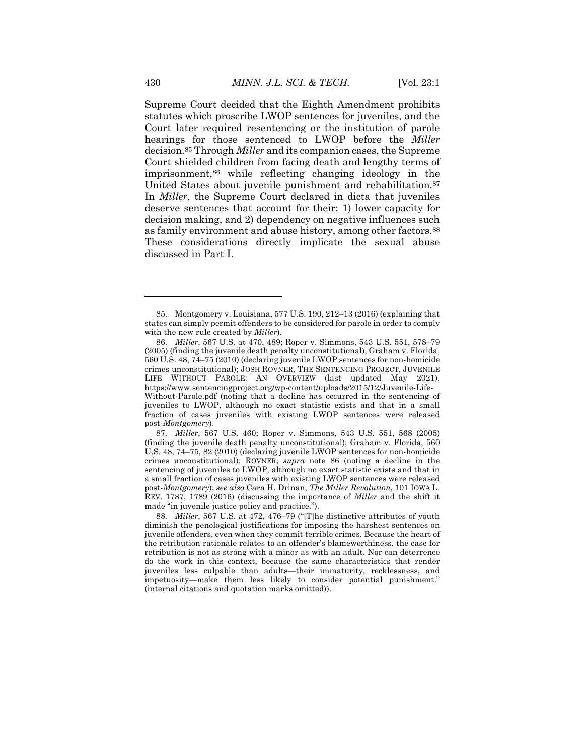Supreme Court decided that the Eighth Amendment prohibits statutes which proscribe LWOP sentences for juveniles, and the Court later required resentencing or the institution of parole hearings for those sentenced to LWOP before the *Miller*  decision.85 Through *Miller* and its companion cases, the Supreme Court shielded children from facing death and lengthy terms of imprisonment,86 while reflecting changing ideology in the United States about juvenile punishment and rehabilitation.<sup>87</sup> In *Miller*, the Supreme Court declared in dicta that juveniles deserve sentences that account for their: 1) lower capacity for decision making, and 2) dependency on negative influences such as family environment and abuse history, among other factors.88 These considerations directly implicate the sexual abuse discussed in Part I.

<sup>85.</sup> Montgomery v. Louisiana, 577 U.S. 190, 212–13 (2016) (explaining that states can simply permit offenders to be considered for parole in order to comply with the new rule created by *Miller*).

<sup>86</sup>*. Miller*, 567 U.S. at 470, 489; Roper v. Simmons, 543 U.S. 551, 578–79 (2005) (finding the juvenile death penalty unconstitutional); Graham v. Florida, 560 U.S. 48, 74–75 (2010) (declaring juvenile LWOP sentences for non-homicide crimes unconstitutional); JOSH ROVNER, THE SENTENCING PROJECT, JUVENILE LIFE WITHOUT PAROLE: AN OVERVIEW (last updated May 2021), https://www.sentencingproject.org/wp-content/uploads/2015/12/Juvenile-Life-Without-Parole.pdf (noting that a decline has occurred in the sentencing of juveniles to LWOP, although no exact statistic exists and that in a small fraction of cases juveniles with existing LWOP sentences were released post-*Montgomery*).

<sup>87</sup>*. Miller*, 567 U.S. 460; Roper v. Simmons, 543 U.S. 551, 568 (2005) (finding the juvenile death penalty unconstitutional); Graham v. Florida, 560 U.S. 48, 74–75, 82 (2010) (declaring juvenile LWOP sentences for non-homicide crimes unconstitutional); ROVNER, *supra* note 86 (noting a decline in the sentencing of juveniles to LWOP, although no exact statistic exists and that in a small fraction of cases juveniles with existing LWOP sentences were released post-*Montgomery*); *see also* Cara H. Drinan, *The Miller Revolution*, 101 IOWA L. REV. 1787, 1789 (2016) (discussing the importance of *Miller* and the shift it made "in juvenile justice policy and practice.").

<sup>88</sup>*. Miller*, 567 U.S. at 472, 476–79 ("[T]he distinctive attributes of youth diminish the penological justifications for imposing the harshest sentences on juvenile offenders, even when they commit terrible crimes. Because the heart of the retribution rationale relates to an offender's blameworthiness, the case for retribution is not as strong with a minor as with an adult. Nor can deterrence do the work in this context, because the same characteristics that render juveniles less culpable than adults—their immaturity, recklessness, and impetuosity—make them less likely to consider potential punishment." (internal citations and quotation marks omitted)).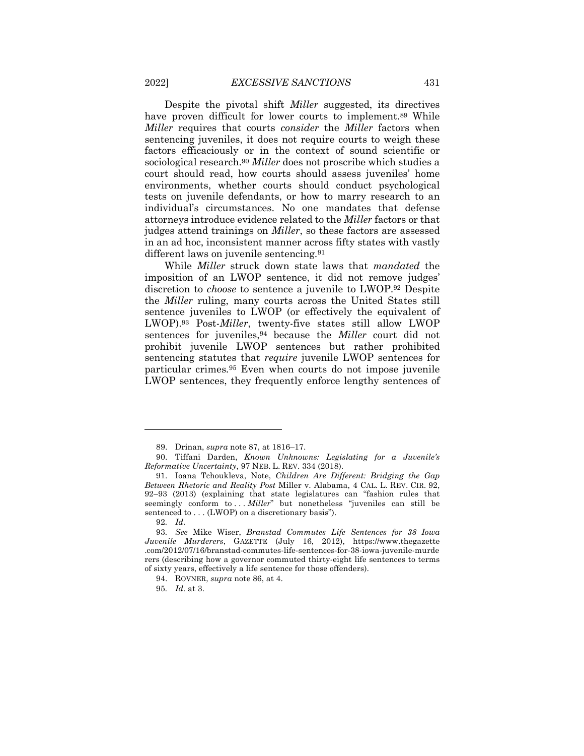Despite the pivotal shift *Miller* suggested, its directives have proven difficult for lower courts to implement.<sup>89</sup> While *Miller* requires that courts *consider* the *Miller* factors when sentencing juveniles, it does not require courts to weigh these factors efficaciously or in the context of sound scientific or sociological research.90 *Miller* does not proscribe which studies a court should read, how courts should assess juveniles' home environments, whether courts should conduct psychological tests on juvenile defendants, or how to marry research to an individual's circumstances. No one mandates that defense attorneys introduce evidence related to the *Miller* factors or that judges attend trainings on *Miller*, so these factors are assessed in an ad hoc, inconsistent manner across fifty states with vastly different laws on juvenile sentencing*.*<sup>91</sup>

While *Miller* struck down state laws that *mandated* the imposition of an LWOP sentence, it did not remove judges' discretion to *choose* to sentence a juvenile to LWOP.92 Despite the *Miller* ruling, many courts across the United States still sentence juveniles to LWOP (or effectively the equivalent of LWOP).93 Post-*Miller*, twenty-five states still allow LWOP sentences for juveniles,94 because the *Miller* court did not prohibit juvenile LWOP sentences but rather prohibited sentencing statutes that *require* juvenile LWOP sentences for particular crimes*.*<sup>95</sup> Even when courts do not impose juvenile LWOP sentences, they frequently enforce lengthy sentences of

<sup>89.</sup> Drinan, *supra* note 87, at 1816–17.

<sup>90.</sup> Tiffani Darden, *Known Unknowns: Legislating for a Juvenile's Reformative Uncertainty*, 97 NEB. L. REV. 334 (2018).

<sup>91.</sup> Ioana Tchoukleva, Note, *Children Are Different: Bridging the Gap Between Rhetoric and Reality Post* Miller v. Alabama, 4 CAL. L. REV. CIR. 92, 92–93 (2013) (explaining that state legislatures can "fashion rules that seemingly conform to ... *Miller*" but nonetheless "juveniles can still be sentenced to . . . (LWOP) on a discretionary basis").

<sup>92</sup>*. Id.*

<sup>93</sup>*. See* Mike Wiser, *Branstad Commutes Life Sentences for 38 Iowa Juvenile Murderers*, GAZETTE (July 16, 2012), https://www.thegazette .com/2012/07/16/branstad-commutes-life-sentences-for-38-iowa-juvenile-murde rers (describing how a governor commuted thirty-eight life sentences to terms of sixty years, effectively a life sentence for those offenders).

<sup>94.</sup> ROVNER, *supra* note 86, at 4.

<sup>95</sup>*. Id.* at 3.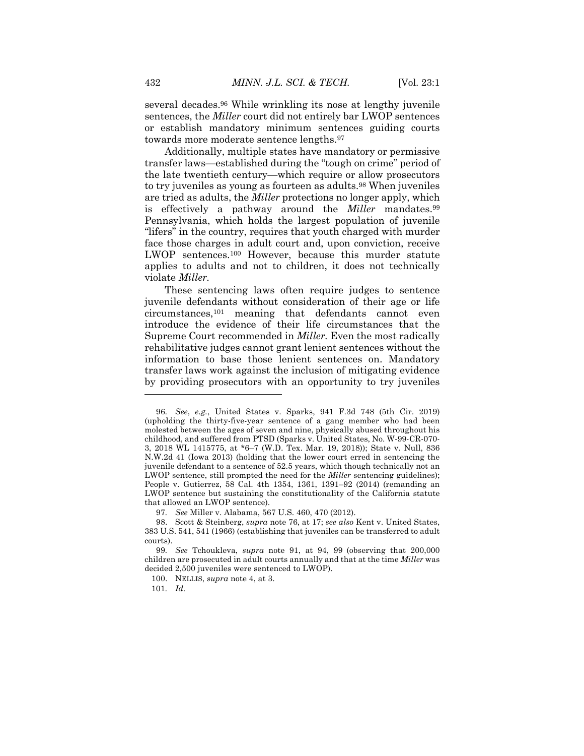several decades.96 While wrinkling its nose at lengthy juvenile sentences, the *Miller* court did not entirely bar LWOP sentences or establish mandatory minimum sentences guiding courts towards more moderate sentence lengths.97

Additionally, multiple states have mandatory or permissive transfer laws—established during the "tough on crime" period of the late twentieth century—which require or allow prosecutors to try juveniles as young as fourteen as adults.98 When juveniles are tried as adults, the *Miller* protections no longer apply, which is effectively a pathway around the *Miller* mandates.99 Pennsylvania, which holds the largest population of juvenile "lifers" in the country, requires that youth charged with murder face those charges in adult court and, upon conviction, receive LWOP sentences.100 However, because this murder statute applies to adults and not to children, it does not technically violate *Miller.*

These sentencing laws often require judges to sentence juvenile defendants without consideration of their age or life circumstances,101 meaning that defendants cannot even introduce the evidence of their life circumstances that the Supreme Court recommended in *Miller.* Even the most radically rehabilitative judges cannot grant lenient sentences without the information to base those lenient sentences on. Mandatory transfer laws work against the inclusion of mitigating evidence by providing prosecutors with an opportunity to try juveniles

<sup>96</sup>*. See*, *e.g.*, United States v. Sparks, 941 F.3d 748 (5th Cir. 2019) (upholding the thirty-five-year sentence of a gang member who had been molested between the ages of seven and nine, physically abused throughout his childhood, and suffered from PTSD (Sparks v. United States, No. W-99-CR-070- 3, 2018 WL 1415775, at \*6–7 (W.D. Tex. Mar. 19, 2018)); State v. Null, 836 N.W.2d 41 (Iowa 2013) (holding that the lower court erred in sentencing the juvenile defendant to a sentence of 52.5 years, which though technically not an LWOP sentence, still prompted the need for the *Miller* sentencing guidelines); People v. Gutierrez, 58 Cal. 4th 1354, 1361, 1391–92 (2014) (remanding an LWOP sentence but sustaining the constitutionality of the California statute that allowed an LWOP sentence).

<sup>97</sup>*. See* Miller v. Alabama, 567 U.S. 460, 470 (2012).

<sup>98.</sup> Scott & Steinberg, *supra* note 76, at 17; *see also* Kent v. United States, 383 U.S. 541, 541 (1966) (establishing that juveniles can be transferred to adult courts).

<sup>99</sup>*. See* Tchoukleva, *supra* note 91, at 94, 99 (observing that 200,000 children are prosecuted in adult courts annually and that at the time *Miller* was decided 2,500 juveniles were sentenced to LWOP).

<sup>100.</sup> NELLIS, *supra* note 4, at 3.

<sup>101</sup>*. Id.*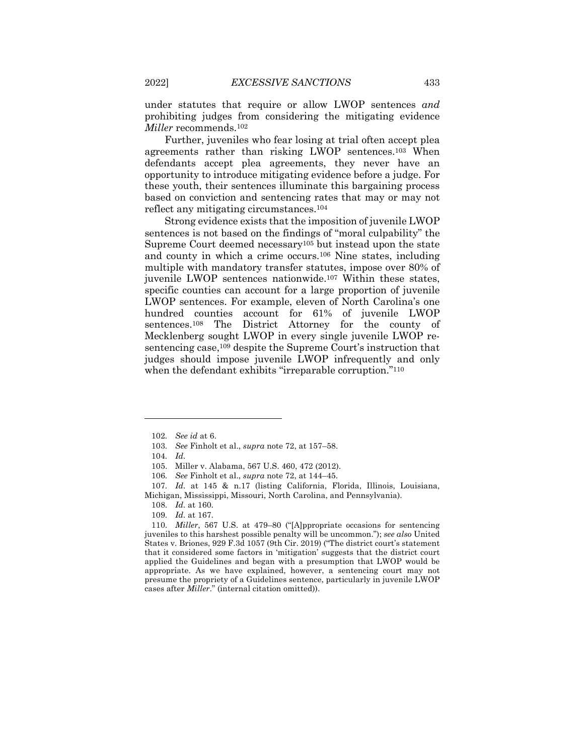under statutes that require or allow LWOP sentences *and* prohibiting judges from considering the mitigating evidence *Miller* recommends.102

Further, juveniles who fear losing at trial often accept plea agreements rather than risking LWOP sentences.103 When defendants accept plea agreements, they never have an opportunity to introduce mitigating evidence before a judge. For these youth, their sentences illuminate this bargaining process based on conviction and sentencing rates that may or may not reflect any mitigating circumstances.104

Strong evidence exists that the imposition of juvenile LWOP sentences is not based on the findings of "moral culpability" the Supreme Court deemed necessary105 but instead upon the state and county in which a crime occurs.106 Nine states, including multiple with mandatory transfer statutes, impose over 80% of juvenile LWOP sentences nationwide.107 Within these states, specific counties can account for a large proportion of juvenile LWOP sentences. For example, eleven of North Carolina's one hundred counties account for 61% of juvenile LWOP sentences.108 The District Attorney for the county of Mecklenberg sought LWOP in every single juvenile LWOP resentencing case,109 despite the Supreme Court's instruction that judges should impose juvenile LWOP infrequently and only when the defendant exhibits "irreparable corruption."<sup>110</sup>

110*. Miller*, 567 U.S. at 479–80 ("[A]ppropriate occasions for sentencing juveniles to this harshest possible penalty will be uncommon."); *see also* United States v. Briones, 929 F.3d 1057 (9th Cir. 2019) ("The district court's statement that it considered some factors in 'mitigation' suggests that the district court applied the Guidelines and began with a presumption that LWOP would be appropriate. As we have explained, however, a sentencing court may not presume the propriety of a Guidelines sentence, particularly in juvenile LWOP cases after *Miller*." (internal citation omitted)).

<sup>102</sup>*. See id* at 6.

<sup>103</sup>*. See* Finholt et al., *supra* note 72, at 157–58.

<sup>104</sup>*. Id.*

<sup>105.</sup> Miller v. Alabama, 567 U.S. 460, 472 (2012).

<sup>106</sup>*. See* Finholt et al., *supra* note 72, at 144–45.

<sup>107</sup>*. Id.* at 145 & n.17 (listing California, Florida, Illinois, Louisiana, Michigan, Mississippi, Missouri, North Carolina, and Pennsylvania).

<sup>108</sup>*. Id.* at 160.

<sup>109</sup>*. Id.* at 167.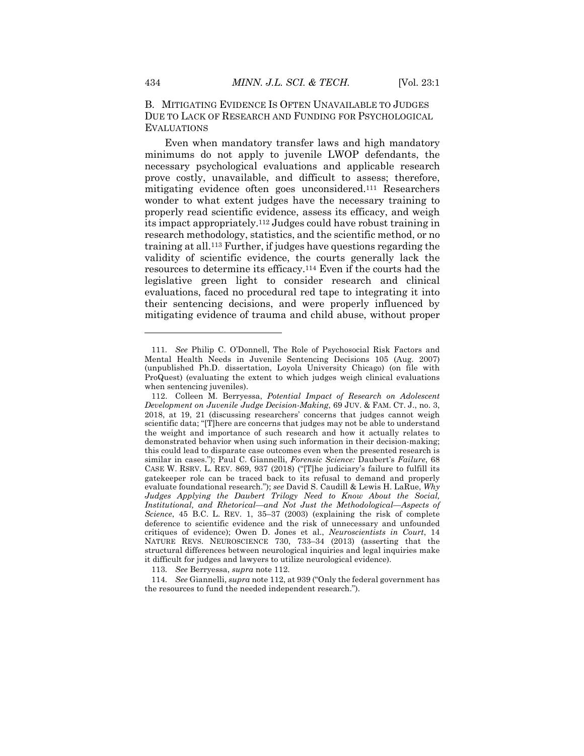B. MITIGATING EVIDENCE IS OFTEN UNAVAILABLE TO JUDGES DUE TO LACK OF RESEARCH AND FUNDING FOR PSYCHOLOGICAL **EVALUATIONS** 

Even when mandatory transfer laws and high mandatory minimums do not apply to juvenile LWOP defendants, the necessary psychological evaluations and applicable research prove costly, unavailable, and difficult to assess; therefore, mitigating evidence often goes unconsidered.111 Researchers wonder to what extent judges have the necessary training to properly read scientific evidence, assess its efficacy, and weigh its impact appropriately.112 Judges could have robust training in research methodology, statistics, and the scientific method, or no training at all.113 Further, if judges have questions regarding the validity of scientific evidence, the courts generally lack the resources to determine its efficacy.114 Even if the courts had the legislative green light to consider research and clinical evaluations, faced no procedural red tape to integrating it into their sentencing decisions, and were properly influenced by mitigating evidence of trauma and child abuse, without proper

113*. See* Berryessa, *supra* note 112.

114*. See* Giannelli, *supra* note 112, at 939 ("Only the federal government has the resources to fund the needed independent research.").

<sup>111</sup>*. See* Philip C. O'Donnell, The Role of Psychosocial Risk Factors and Mental Health Needs in Juvenile Sentencing Decisions 105 (Aug. 2007) (unpublished Ph.D. dissertation, Loyola University Chicago) (on file with ProQuest) (evaluating the extent to which judges weigh clinical evaluations when sentencing juveniles).

<sup>112.</sup> Colleen M. Berryessa, *Potential Impact of Research on Adolescent Development on Juvenile Judge Decision-Making*, 69 JUV. & FAM. CT. J., no. 3, 2018, at 19, 21 (discussing researchers' concerns that judges cannot weigh scientific data; "[T]here are concerns that judges may not be able to understand the weight and importance of such research and how it actually relates to demonstrated behavior when using such information in their decision-making; this could lead to disparate case outcomes even when the presented research is similar in cases."); Paul C. Giannelli, *Forensic Science:* Daubert's *Failure*, 68 CASE W. RSRV. L. REV. 869, 937 (2018) ("[T]he judiciary's failure to fulfill its gatekeeper role can be traced back to its refusal to demand and properly evaluate foundational research."); *see* David S. Caudill & Lewis H. LaRue, *Why Judges Applying the Daubert Trilogy Need to Know About the Social, Institutional, and Rhetorical—and Not Just the Methodological—Aspects of Science*, 45 B.C. L. REV. 1, 35–37 (2003) (explaining the risk of complete deference to scientific evidence and the risk of unnecessary and unfounded critiques of evidence); Owen D. Jones et al., *Neuroscientists in Court*, 14 NATURE REVS. NEUROSCIENCE 730, 733–34 (2013) (asserting that the structural differences between neurological inquiries and legal inquiries make it difficult for judges and lawyers to utilize neurological evidence).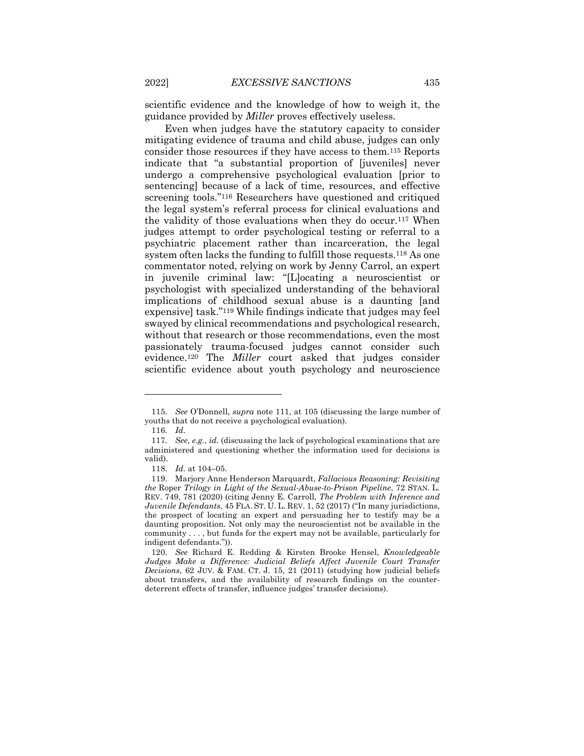scientific evidence and the knowledge of how to weigh it, the guidance provided by *Miller* proves effectively useless.

Even when judges have the statutory capacity to consider mitigating evidence of trauma and child abuse, judges can only consider those resources if they have access to them.115 Reports indicate that "a substantial proportion of [juveniles] never undergo a comprehensive psychological evaluation [prior to sentencing] because of a lack of time, resources, and effective screening tools."116 Researchers have questioned and critiqued the legal system's referral process for clinical evaluations and the validity of those evaluations when they do occur.117 When judges attempt to order psychological testing or referral to a psychiatric placement rather than incarceration, the legal system often lacks the funding to fulfill those requests.118 As one commentator noted, relying on work by Jenny Carrol, an expert in juvenile criminal law: "[L]ocating a neuroscientist or psychologist with specialized understanding of the behavioral implications of childhood sexual abuse is a daunting [and expensive] task."119 While findings indicate that judges may feel swayed by clinical recommendations and psychological research, without that research or those recommendations, even the most passionately trauma-focused judges cannot consider such evidence.120 The *Miller* court asked that judges consider scientific evidence about youth psychology and neuroscience

<sup>115</sup>*. See* O'Donnell, *supra* note 111, at 105 (discussing the large number of youths that do not receive a psychological evaluation).

<sup>116</sup>*. Id.*

<sup>117</sup>*. See, e.g.*, *id.* (discussing the lack of psychological examinations that are administered and questioning whether the information used for decisions is valid).

<sup>118</sup>*. Id.* at 104–05.

<sup>119.</sup> Marjory Anne Henderson Marquardt, *Fallacious Reasoning: Revisiting the* Roper *Trilogy in Light of the Sexual-Abuse-to-Prison Pipeline*, 72 STAN. L. REV. 749, 781 (2020) (citing Jenny E. Carroll, *The Problem with Inference and Juvenile Defendants*, 45 FLA. ST. U. L. REV. 1, 52 (2017) ("In many jurisdictions, the prospect of locating an expert and persuading her to testify may be a daunting proposition. Not only may the neuroscientist not be available in the community . . . , but funds for the expert may not be available, particularly for indigent defendants.")).

<sup>120</sup>*. See* Richard E. Redding & Kirsten Brooke Hensel, *Knowledgeable Judges Make a Difference: Judicial Beliefs Affect Juvenile Court Transfer Decisions*, 62 JUV. & FAM. CT. J. 15, 21 (2011) (studying how judicial beliefs about transfers, and the availability of research findings on the counterdeterrent effects of transfer, influence judges' transfer decisions).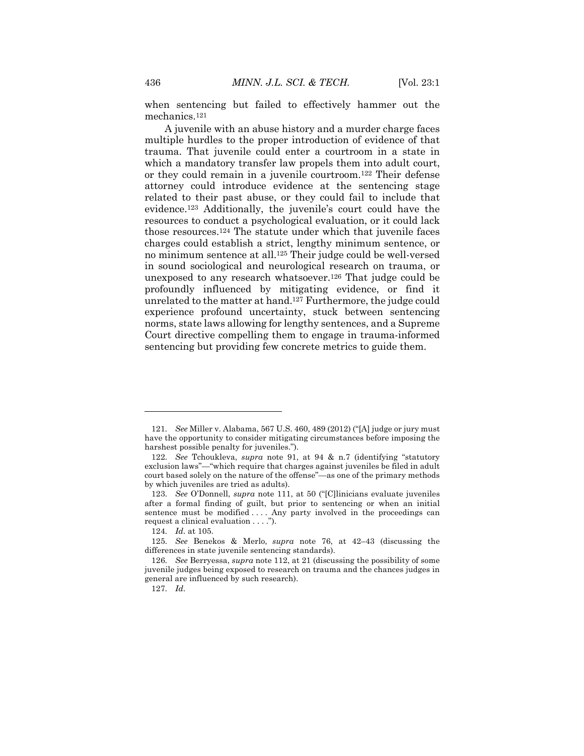when sentencing but failed to effectively hammer out the mechanics.121

A juvenile with an abuse history and a murder charge faces multiple hurdles to the proper introduction of evidence of that trauma. That juvenile could enter a courtroom in a state in which a mandatory transfer law propels them into adult court, or they could remain in a juvenile courtroom.122 Their defense attorney could introduce evidence at the sentencing stage related to their past abuse, or they could fail to include that evidence.123 Additionally, the juvenile's court could have the resources to conduct a psychological evaluation, or it could lack those resources.124 The statute under which that juvenile faces charges could establish a strict, lengthy minimum sentence, or no minimum sentence at all.125 Their judge could be well-versed in sound sociological and neurological research on trauma, or unexposed to any research whatsoever.126 That judge could be profoundly influenced by mitigating evidence, or find it unrelated to the matter at hand.127 Furthermore, the judge could experience profound uncertainty, stuck between sentencing norms, state laws allowing for lengthy sentences, and a Supreme Court directive compelling them to engage in trauma-informed sentencing but providing few concrete metrics to guide them.

<sup>121</sup>*. See* Miller v. Alabama, 567 U.S. 460, 489 (2012) ("[A] judge or jury must have the opportunity to consider mitigating circumstances before imposing the harshest possible penalty for juveniles.").

<sup>122</sup>*. See* Tchoukleva, *supra* note 91, at 94 & n.7 (identifying "statutory exclusion laws"—"which require that charges against juveniles be filed in adult court based solely on the nature of the offense"—as one of the primary methods by which juveniles are tried as adults).

<sup>123</sup>*. See* O'Donnell, *supra* note 111, at 50 ("[C]linicians evaluate juveniles after a formal finding of guilt, but prior to sentencing or when an initial sentence must be modified .... Any party involved in the proceedings can request a clinical evaluation . . . .").

<sup>124</sup>*. Id.* at 105.

<sup>125</sup>*. See* Benekos & Merlo, *supra* note 76, at 42–43 (discussing the differences in state juvenile sentencing standards).

<sup>126</sup>*. See* Berryessa, *supra* note 112, at 21 (discussing the possibility of some juvenile judges being exposed to research on trauma and the chances judges in general are influenced by such research).

<sup>127</sup>*. Id.*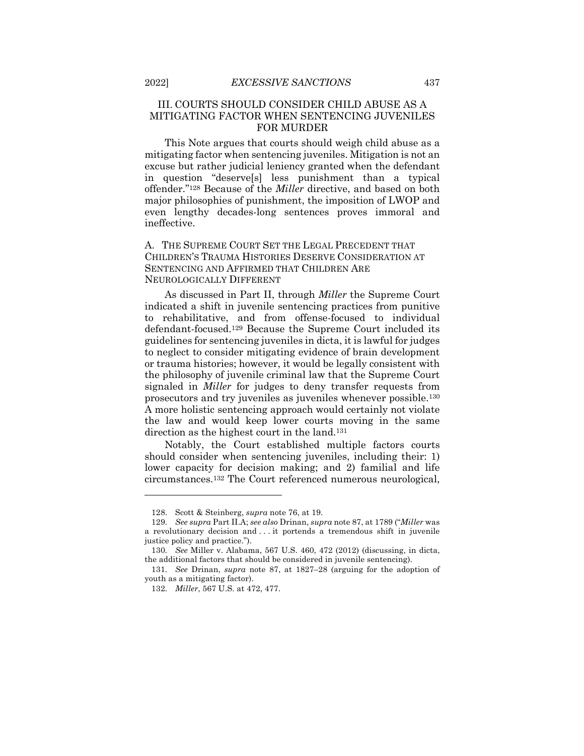#### III. COURTS SHOULD CONSIDER CHILD ABUSE AS A MITIGATING FACTOR WHEN SENTENCING JUVENILES FOR MURDER

This Note argues that courts should weigh child abuse as a mitigating factor when sentencing juveniles. Mitigation is not an excuse but rather judicial leniency granted when the defendant in question "deserve[s] less punishment than a typical offender."128 Because of the *Miller* directive, and based on both major philosophies of punishment, the imposition of LWOP and even lengthy decades-long sentences proves immoral and ineffective.

#### A. THE SUPREME COURT SET THE LEGAL PRECEDENT THAT CHILDREN'S TRAUMA HISTORIES DESERVE CONSIDERATION AT SENTENCING AND AFFIRMED THAT CHILDREN ARE NEUROLOGICALLY DIFFERENT

As discussed in Part II, through *Miller* the Supreme Court indicated a shift in juvenile sentencing practices from punitive to rehabilitative, and from offense-focused to individual defendant-focused.129 Because the Supreme Court included its guidelines for sentencing juveniles in dicta, it is lawful for judges to neglect to consider mitigating evidence of brain development or trauma histories; however, it would be legally consistent with the philosophy of juvenile criminal law that the Supreme Court signaled in *Miller* for judges to deny transfer requests from prosecutors and try juveniles as juveniles whenever possible.130 A more holistic sentencing approach would certainly not violate the law and would keep lower courts moving in the same direction as the highest court in the land.131

Notably, the Court established multiple factors courts should consider when sentencing juveniles, including their: 1) lower capacity for decision making; and 2) familial and life circumstances.132 The Court referenced numerous neurological,

<sup>128.</sup> Scott & Steinberg, *supra* note 76, at 19.

<sup>129</sup>*. See supra* Part II.A; *see also* Drinan, *supra* note 87, at 1789 ("*Miller* was a revolutionary decision and . . . it portends a tremendous shift in juvenile justice policy and practice.").

<sup>130</sup>*. See* Miller v. Alabama, 567 U.S. 460, 472 (2012) (discussing, in dicta, the additional factors that should be considered in juvenile sentencing).

<sup>131</sup>*. See* Drinan, *supra* note 87, at 1827–28 (arguing for the adoption of youth as a mitigating factor).

<sup>132</sup>*. Miller*, 567 U.S. at 472, 477.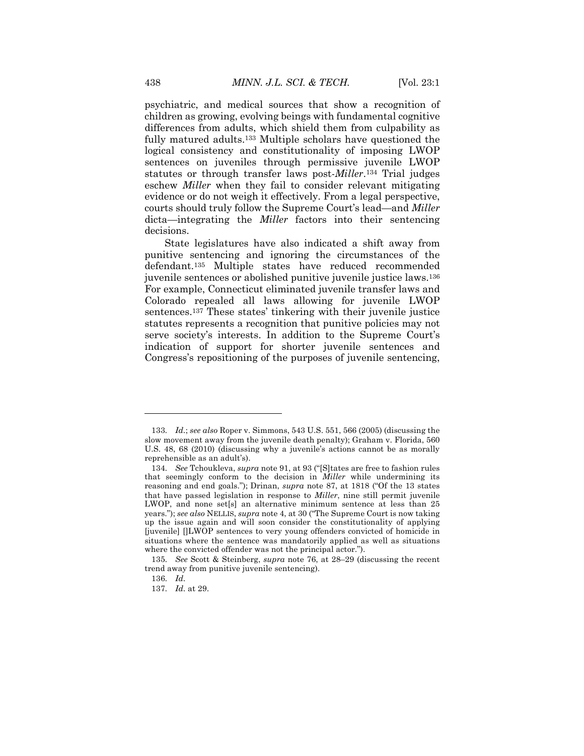psychiatric, and medical sources that show a recognition of children as growing, evolving beings with fundamental cognitive differences from adults, which shield them from culpability as fully matured adults.133 Multiple scholars have questioned the logical consistency and constitutionality of imposing LWOP sentences on juveniles through permissive juvenile LWOP statutes or through transfer laws post-*Miller*.134 Trial judges eschew *Miller* when they fail to consider relevant mitigating evidence or do not weigh it effectively. From a legal perspective, courts should truly follow the Supreme Court's lead—and *Miller*  dicta—integrating the *Miller* factors into their sentencing decisions.

State legislatures have also indicated a shift away from punitive sentencing and ignoring the circumstances of the defendant.135 Multiple states have reduced recommended juvenile sentences or abolished punitive juvenile justice laws.136 For example, Connecticut eliminated juvenile transfer laws and Colorado repealed all laws allowing for juvenile LWOP sentences.137 These states' tinkering with their juvenile justice statutes represents a recognition that punitive policies may not serve society's interests. In addition to the Supreme Court's indication of support for shorter juvenile sentences and Congress's repositioning of the purposes of juvenile sentencing,

<sup>133</sup>*. Id.*; *see also* Roper v. Simmons, 543 U.S. 551, 566 (2005) (discussing the slow movement away from the juvenile death penalty); Graham v. Florida, 560 U.S. 48, 68 (2010) (discussing why a juvenile's actions cannot be as morally reprehensible as an adult's).

<sup>134</sup>*. See* Tchoukleva, *supra* note 91, at 93 ("[S]tates are free to fashion rules that seemingly conform to the decision in *Miller* while undermining its reasoning and end goals."); Drinan, *supra* note 87, at 1818 ("Of the 13 states that have passed legislation in response to *Miller*, nine still permit juvenile LWOP, and none set[s] an alternative minimum sentence at less than 25 years."); *see also* NELLIS, *supra* note 4, at 30 ("The Supreme Court is now taking up the issue again and will soon consider the constitutionality of applying [juvenile] []LWOP sentences to very young offenders convicted of homicide in situations where the sentence was mandatorily applied as well as situations where the convicted offender was not the principal actor.").

<sup>135</sup>*. See* Scott & Steinberg, *supra* note 76, at 28–29 (discussing the recent trend away from punitive juvenile sentencing).

<sup>136</sup>*. Id.*

<sup>137</sup>*. Id.* at 29.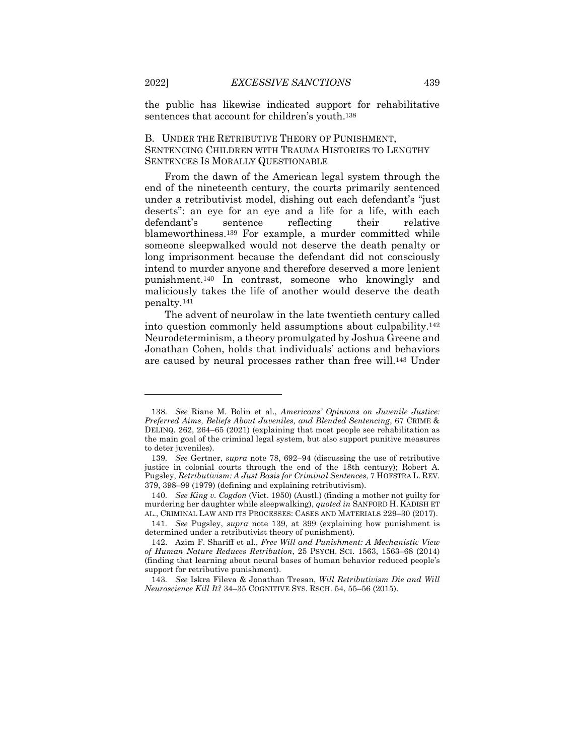the public has likewise indicated support for rehabilitative sentences that account for children's youth.138

#### B. UNDER THE RETRIBUTIVE THEORY OF PUNISHMENT, SENTENCING CHILDREN WITH TRAUMA HISTORIES TO LENGTHY SENTENCES IS MORALLY QUESTIONABLE

From the dawn of the American legal system through the end of the nineteenth century, the courts primarily sentenced under a retributivist model, dishing out each defendant's "just deserts": an eye for an eye and a life for a life, with each defendant's sentence reflecting their relative blameworthiness.139 For example, a murder committed while someone sleepwalked would not deserve the death penalty or long imprisonment because the defendant did not consciously intend to murder anyone and therefore deserved a more lenient punishment.140 In contrast, someone who knowingly and maliciously takes the life of another would deserve the death penalty.141

The advent of neurolaw in the late twentieth century called into question commonly held assumptions about culpability.142 Neurodeterminism, a theory promulgated by Joshua Greene and Jonathan Cohen, holds that individuals' actions and behaviors are caused by neural processes rather than free will.143 Under

<sup>138</sup>*. See* Riane M. Bolin et al., *Americans' Opinions on Juvenile Justice: Preferred Aims, Beliefs About Juveniles, and Blended Sentencing*, 67 CRIME & DELINQ. 262, 264–65 (2021) (explaining that most people see rehabilitation as the main goal of the criminal legal system, but also support punitive measures to deter juveniles).

<sup>139</sup>*. See* Gertner, *supra* note 78, 692–94 (discussing the use of retributive justice in colonial courts through the end of the 18th century); Robert A. Pugsley, *Retributivism: A Just Basis for Criminal Sentences*, 7 HOFSTRA L. REV. 379, 398–99 (1979) (defining and explaining retributivism).

<sup>140</sup>*. See King v. Cogdon* (Vict. 1950) (Austl.) (finding a mother not guilty for murdering her daughter while sleepwalking), *quoted in* SANFORD H. KADISH ET AL., CRIMINAL LAW AND ITS PROCESSES: CASES AND MATERIALS 229–30 (2017).

<sup>141</sup>*. See* Pugsley, *supra* note 139, at 399 (explaining how punishment is determined under a retributivist theory of punishment).

<sup>142.</sup> Azim F. Shariff et al., *Free Will and Punishment: A Mechanistic View of Human Nature Reduces Retribution*, 25 PSYCH. SCI. 1563, 1563–68 (2014) (finding that learning about neural bases of human behavior reduced people's support for retributive punishment).

<sup>143</sup>*. See* Iskra Fileva & Jonathan Tresan, *Will Retributivism Die and Will Neuroscience Kill It?* 34–35 COGNITIVE SYS. RSCH. 54, 55–56 (2015).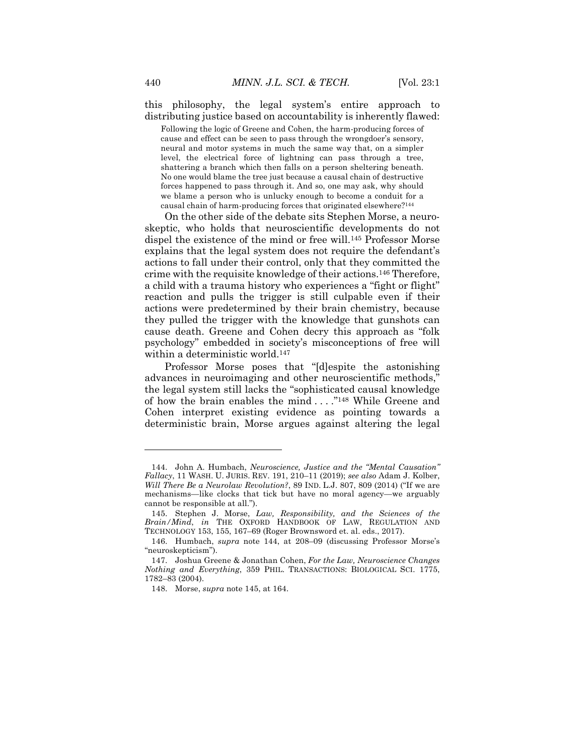this philosophy, the legal system's entire approach to distributing justice based on accountability is inherently flawed:

Following the logic of Greene and Cohen, the harm-producing forces of cause and effect can be seen to pass through the wrongdoer's sensory, neural and motor systems in much the same way that, on a simpler level, the electrical force of lightning can pass through a tree, shattering a branch which then falls on a person sheltering beneath. No one would blame the tree just because a causal chain of destructive forces happened to pass through it. And so, one may ask, why should we blame a person who is unlucky enough to become a conduit for a causal chain of harm-producing forces that originated elsewhere?144

On the other side of the debate sits Stephen Morse, a neuroskeptic, who holds that neuroscientific developments do not dispel the existence of the mind or free will.145 Professor Morse explains that the legal system does not require the defendant's actions to fall under their control, only that they committed the crime with the requisite knowledge of their actions.146 Therefore, a child with a trauma history who experiences a "fight or flight" reaction and pulls the trigger is still culpable even if their actions were predetermined by their brain chemistry, because they pulled the trigger with the knowledge that gunshots can cause death. Greene and Cohen decry this approach as "folk psychology" embedded in society's misconceptions of free will within a deterministic world.<sup>147</sup>

Professor Morse poses that "[d]espite the astonishing advances in neuroimaging and other neuroscientific methods," the legal system still lacks the "sophisticated causal knowledge of how the brain enables the mind . . . ."148 While Greene and Cohen interpret existing evidence as pointing towards a deterministic brain, Morse argues against altering the legal

<sup>144.</sup> John A. Humbach, *Neuroscience, Justice and the "Mental Causation" Fallacy*, 11 WASH. U. JURIS. REV. 191, 210–11 (2019); *see also* Adam J. Kolber, *Will There Be a Neurolaw Revolution?*, 89 IND. L.J. 807, 809 (2014) ("If we are mechanisms—like clocks that tick but have no moral agency—we arguably cannot be responsible at all.").

<sup>145.</sup> Stephen J. Morse, *Law, Responsibility, and the Sciences of the Brain/Mind*, *in* THE OXFORD HANDBOOK OF LAW, REGULATION AND TECHNOLOGY 153, 155, 167–69 (Roger Brownsword et. al. eds., 2017).

<sup>146.</sup> Humbach, *supra* note 144, at 208–09 (discussing Professor Morse's "neuroskepticism").

<sup>147.</sup> Joshua Greene & Jonathan Cohen, *For the Law, Neuroscience Changes Nothing and Everything*, 359 PHIL. TRANSACTIONS: BIOLOGICAL SCI. 1775, 1782–83 (2004).

<sup>148.</sup> Morse, *supra* note 145, at 164.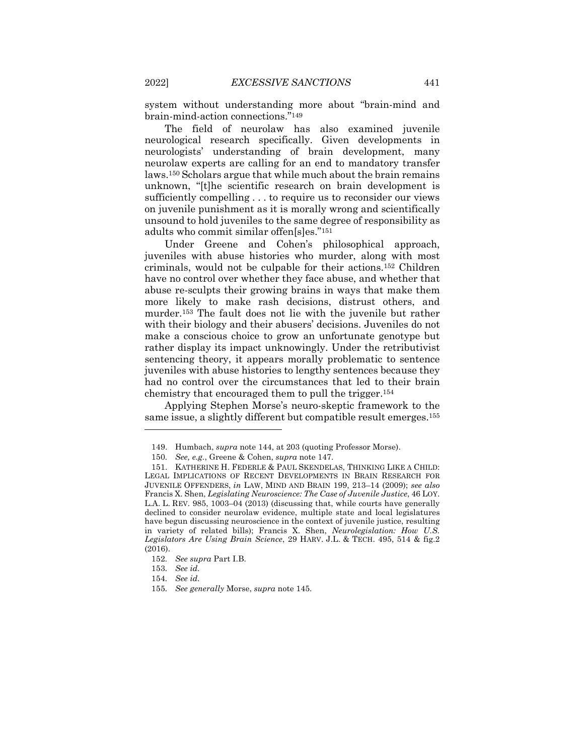system without understanding more about "brain-mind and brain-mind-action connections."149

The field of neurolaw has also examined juvenile neurological research specifically. Given developments in neurologists' understanding of brain development, many neurolaw experts are calling for an end to mandatory transfer laws.150 Scholars argue that while much about the brain remains unknown, "[t]he scientific research on brain development is sufficiently compelling . . . to require us to reconsider our views on juvenile punishment as it is morally wrong and scientifically unsound to hold juveniles to the same degree of responsibility as adults who commit similar offen[s]es."151

Under Greene and Cohen's philosophical approach, juveniles with abuse histories who murder, along with most criminals, would not be culpable for their actions.152 Children have no control over whether they face abuse, and whether that abuse re-sculpts their growing brains in ways that make them more likely to make rash decisions, distrust others, and murder.153 The fault does not lie with the juvenile but rather with their biology and their abusers' decisions. Juveniles do not make a conscious choice to grow an unfortunate genotype but rather display its impact unknowingly. Under the retributivist sentencing theory, it appears morally problematic to sentence juveniles with abuse histories to lengthy sentences because they had no control over the circumstances that led to their brain chemistry that encouraged them to pull the trigger.154

Applying Stephen Morse's neuro-skeptic framework to the same issue, a slightly different but compatible result emerges.155

<sup>149.</sup> Humbach, *supra* note 144, at 203 (quoting Professor Morse).

<sup>150</sup>*. See, e.g.*, Greene & Cohen, *supra* note 147.

<sup>151.</sup> KATHERINE H. FEDERLE & PAUL SKENDELAS, THINKING LIKE A CHILD: LEGAL IMPLICATIONS OF RECENT DEVELOPMENTS IN BRAIN RESEARCH FOR JUVENILE OFFENDERS, *in* LAW, MIND AND BRAIN 199, 213–14 (2009); *see also* Francis X. Shen, *Legislating Neuroscience: The Case of Juvenile Justice*, 46 LOY. L.A. L. REV. 985, 1003–04 (2013) (discussing that, while courts have generally declined to consider neurolaw evidence, multiple state and local legislatures have begun discussing neuroscience in the context of juvenile justice, resulting in variety of related bills); Francis X. Shen, *Neurolegislation: How U.S. Legislators Are Using Brain Science*, 29 HARV. J.L. & TECH. 495, 514 & fig.2 (2016).

<sup>152</sup>*. See supra* Part I.B.

<sup>153</sup>*. See id.*

<sup>154</sup>*. See id.*

<sup>155</sup>*. See generally* Morse, *supra* note 145.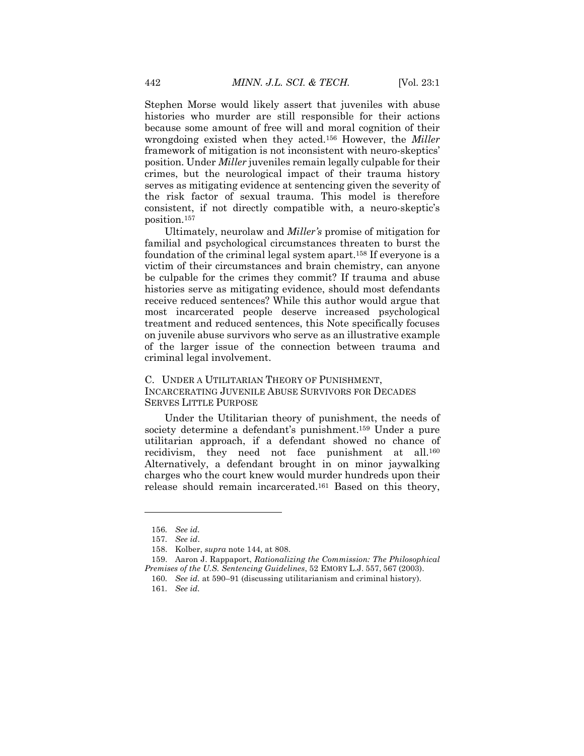Stephen Morse would likely assert that juveniles with abuse histories who murder are still responsible for their actions because some amount of free will and moral cognition of their wrongdoing existed when they acted.156 However, the *Miller*  framework of mitigation is not inconsistent with neuro-skeptics' position. Under *Miller* juveniles remain legally culpable for their crimes, but the neurological impact of their trauma history serves as mitigating evidence at sentencing given the severity of the risk factor of sexual trauma. This model is therefore consistent, if not directly compatible with, a neuro-skeptic's position.157

Ultimately, neurolaw and *Miller's* promise of mitigation for familial and psychological circumstances threaten to burst the foundation of the criminal legal system apart.158 If everyone is a victim of their circumstances and brain chemistry, can anyone be culpable for the crimes they commit? If trauma and abuse histories serve as mitigating evidence, should most defendants receive reduced sentences? While this author would argue that most incarcerated people deserve increased psychological treatment and reduced sentences, this Note specifically focuses on juvenile abuse survivors who serve as an illustrative example of the larger issue of the connection between trauma and criminal legal involvement.

C. UNDER A UTILITARIAN THEORY OF PUNISHMENT, INCARCERATING JUVENILE ABUSE SURVIVORS FOR DECADES SERVES LITTLE PURPOSE

Under the Utilitarian theory of punishment, the needs of society determine a defendant's punishment.<sup>159</sup> Under a pure utilitarian approach, if a defendant showed no chance of recidivism, they need not face punishment at all.<sup>160</sup> Alternatively, a defendant brought in on minor jaywalking charges who the court knew would murder hundreds upon their release should remain incarcerated.161 Based on this theory,

<sup>156</sup>*. See id.*

<sup>157</sup>*. See id*.

<sup>158.</sup> Kolber, *supra* note 144, at 808.

<sup>159.</sup> Aaron J. Rappaport, *Rationalizing the Commission: The Philosophical Premises of the U.S. Sentencing Guidelines*, 52 EMORY L.J. 557, 567 (2003).

<sup>160</sup>*. See id.* at 590–91 (discussing utilitarianism and criminal history).

<sup>161</sup>*. See id.*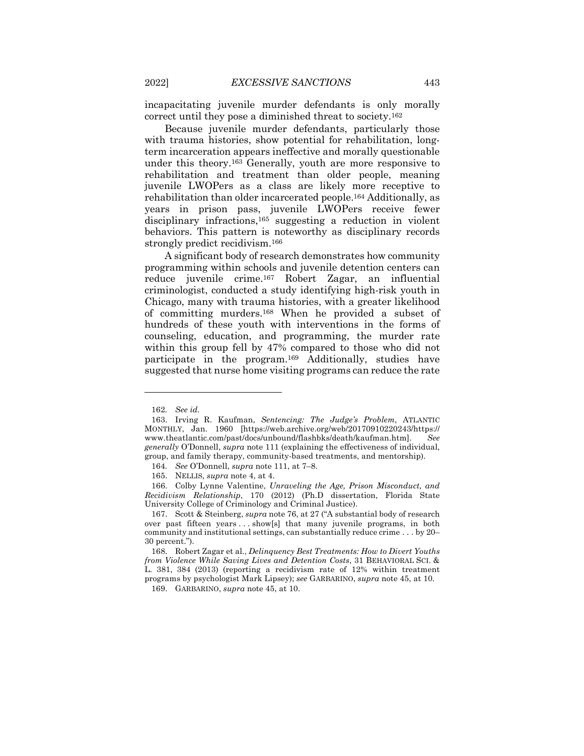incapacitating juvenile murder defendants is only morally correct until they pose a diminished threat to society.162

Because juvenile murder defendants, particularly those with trauma histories, show potential for rehabilitation, longterm incarceration appears ineffective and morally questionable under this theory.163 Generally, youth are more responsive to rehabilitation and treatment than older people, meaning juvenile LWOPers as a class are likely more receptive to rehabilitation than older incarcerated people.164 Additionally, as years in prison pass, juvenile LWOPers receive fewer disciplinary infractions,165 suggesting a reduction in violent behaviors. This pattern is noteworthy as disciplinary records strongly predict recidivism.166

A significant body of research demonstrates how community programming within schools and juvenile detention centers can reduce juvenile crime.167 Robert Zagar, an influential criminologist, conducted a study identifying high-risk youth in Chicago, many with trauma histories, with a greater likelihood of committing murders.168 When he provided a subset of hundreds of these youth with interventions in the forms of counseling, education, and programming, the murder rate within this group fell by 47% compared to those who did not participate in the program.169 Additionally, studies have suggested that nurse home visiting programs can reduce the rate

<sup>162</sup>*. See id.*

<sup>163.</sup> Irving R. Kaufman, *Sentencing: The Judge's Problem*, ATLANTIC MONTHLY, Jan. 1960 [https://web.archive.org/web/20170910220243/https:// www.theatlantic.com/past/docs/unbound/flashbks/death/kaufman.htm]. *See generally* O'Donnell, *supra* note 111 (explaining the effectiveness of individual, group, and family therapy, community-based treatments, and mentorship).

<sup>164</sup>*. See* O'Donnell, *supra* note 111, at 7–8.

<sup>165.</sup> NELLIS, *supra* note 4, at 4.

<sup>166.</sup> Colby Lynne Valentine, *Unraveling the Age, Prison Misconduct, and Recidivism Relationship*, 170 (2012) (Ph.D dissertation, Florida State University College of Criminology and Criminal Justice).

<sup>167.</sup> Scott & Steinberg, *supra* note 76, at 27 ("A substantial body of research over past fifteen years . . . show[s] that many juvenile programs, in both community and institutional settings, can substantially reduce crime . . . by 20– 30 percent.").

<sup>168.</sup> Robert Zagar et al., *Delinquency Best Treatments: How to Divert Youths from Violence While Saving Lives and Detention Costs*, 31 BEHAVIORAL SCI. & L. 381, 384 (2013) (reporting a recidivism rate of 12% within treatment programs by psychologist Mark Lipsey); *see* GARBARINO, *supra* note 45, at 10.

<sup>169.</sup> GARBARINO, *supra* note 45, at 10.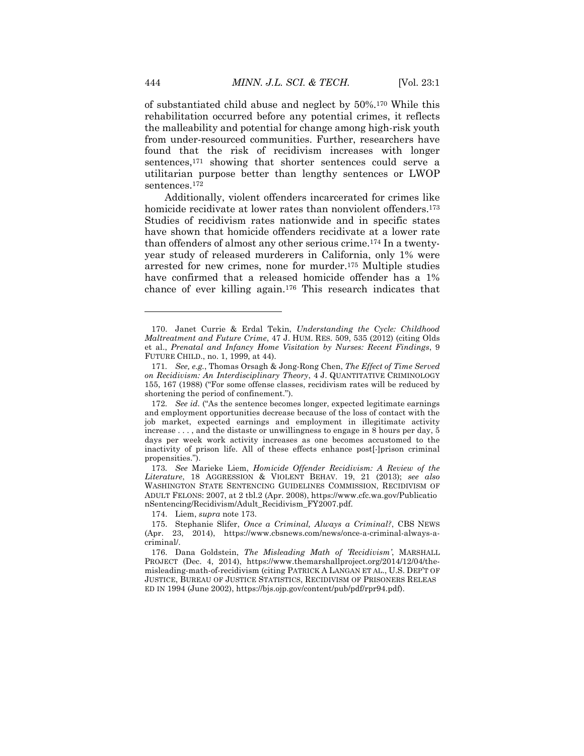of substantiated child abuse and neglect by 50%.170 While this rehabilitation occurred before any potential crimes, it reflects the malleability and potential for change among high-risk youth from under-resourced communities. Further, researchers have found that the risk of recidivism increases with longer sentences,171 showing that shorter sentences could serve a utilitarian purpose better than lengthy sentences or LWOP sentences.172

Additionally, violent offenders incarcerated for crimes like homicide recidivate at lower rates than nonviolent offenders.<sup>173</sup> Studies of recidivism rates nationwide and in specific states have shown that homicide offenders recidivate at a lower rate than offenders of almost any other serious crime.174 In a twentyyear study of released murderers in California, only 1% were arrested for new crimes, none for murder.175 Multiple studies have confirmed that a released homicide offender has a 1% chance of ever killing again.176 This research indicates that

174. Liem, *supra* note 173.

<sup>170.</sup> Janet Currie & Erdal Tekin, *Understanding the Cycle: Childhood Maltreatment and Future Crime*, 47 J. HUM. RES. 509, 535 (2012) (citing Olds et al., *Prenatal and Infancy Home Visitation by Nurses: Recent Findings*, 9 FUTURE CHILD., no. 1, 1999, at 44).

<sup>171</sup>*. See, e.g.*, Thomas Orsagh & Jong-Rong Chen, *The Effect of Time Served on Recidivism: An Interdisciplinary Theory*, 4 J. QUANTITATIVE CRIMINOLOGY 155, 167 (1988) ("For some offense classes, recidivism rates will be reduced by shortening the period of confinement.").

<sup>172</sup>*. See id.* ("As the sentence becomes longer, expected legitimate earnings and employment opportunities decrease because of the loss of contact with the job market, expected earnings and employment in illegitimate activity increase . . . , and the distaste or unwillingness to engage in 8 hours per day, 5 days per week work activity increases as one becomes accustomed to the inactivity of prison life. All of these effects enhance post[-]prison criminal propensities.").

<sup>173</sup>*. See* Marieke Liem, *Homicide Offender Recidivism: A Review of the Literature*, 18 AGGRESSION & VIOLENT BEHAV. 19, 21 (2013); *see also*  WASHINGTON STATE SENTENCING GUIDELINES COMMISSION, RECIDIVISM OF ADULT FELONS: 2007, at 2 tbl.2 (Apr. 2008), https://www.cfc.wa.gov/Publicatio nSentencing/Recidivism/Adult\_Recidivism\_FY2007.pdf.

<sup>175.</sup> Stephanie Slifer, *Once a Criminal, Always a Criminal?*, CBS NEWS (Apr. 23, 2014), https://www.cbsnews.com/news/once-a-criminal-always-acriminal/.

<sup>176.</sup> Dana Goldstein, *The Misleading Math of 'Recidivism'*, MARSHALL PROJECT (Dec. 4, 2014), https://www.themarshallproject.org/2014/12/04/themisleading-math-of-recidivism (citing PATRICK A LANGAN ET AL., U.S. DEP'T OF JUSTICE, BUREAU OF JUSTICE STATISTICS, RECIDIVISM OF PRISONERS RELEAS ED IN 1994 (June 2002), https://bjs.ojp.gov/content/pub/pdf/rpr94.pdf).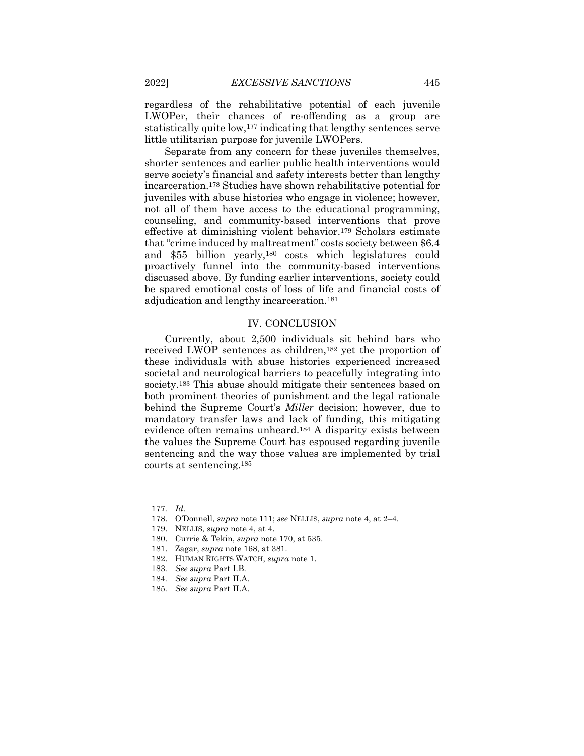regardless of the rehabilitative potential of each juvenile LWOPer, their chances of re-offending as a group are statistically quite low,177 indicating that lengthy sentences serve little utilitarian purpose for juvenile LWOPers.

Separate from any concern for these juveniles themselves, shorter sentences and earlier public health interventions would serve society's financial and safety interests better than lengthy incarceration.178 Studies have shown rehabilitative potential for juveniles with abuse histories who engage in violence; however, not all of them have access to the educational programming, counseling, and community-based interventions that prove effective at diminishing violent behavior.179 Scholars estimate that "crime induced by maltreatment" costs society between \$6.4 and \$55 billion yearly,180 costs which legislatures could proactively funnel into the community-based interventions discussed above. By funding earlier interventions, society could be spared emotional costs of loss of life and financial costs of adjudication and lengthy incarceration.181

#### IV. CONCLUSION

Currently, about 2,500 individuals sit behind bars who received LWOP sentences as children,182 yet the proportion of these individuals with abuse histories experienced increased societal and neurological barriers to peacefully integrating into society.183 This abuse should mitigate their sentences based on both prominent theories of punishment and the legal rationale behind the Supreme Court's *Miller* decision; however, due to mandatory transfer laws and lack of funding, this mitigating evidence often remains unheard.184 A disparity exists between the values the Supreme Court has espoused regarding juvenile sentencing and the way those values are implemented by trial courts at sentencing.185

<sup>177</sup>*. Id.*

<sup>178.</sup> O'Donnell, *supra* note 111; *see* NELLIS, *supra* note 4, at 2–4.

<sup>179.</sup> NELLIS, *supra* note 4, at 4.

<sup>180.</sup> Currie & Tekin, *supra* note 170, at 535.

<sup>181.</sup> Zagar, *supra* note 168, at 381.

<sup>182.</sup> HUMAN RIGHTS WATCH, *supra* note 1.

<sup>183</sup>*. See supra* Part I.B.

<sup>184</sup>*. See supra* Part II.A.

<sup>185</sup>*. See supra* Part II.A.